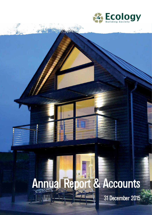

# Annual Report & Accounts

31 December 2015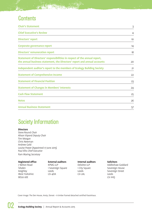# **Contents**

 $\mathbb{Z}$ 

| <b>Chair's Statement</b>                                                                                                                              | 3  |
|-------------------------------------------------------------------------------------------------------------------------------------------------------|----|
| <b>Chief Executive's Review</b>                                                                                                                       | 4  |
| <b>Directors' report</b>                                                                                                                              | 10 |
| <b>Corporate governance report</b>                                                                                                                    | 14 |
| <b>Directors' remuneration report</b>                                                                                                                 | 18 |
| Statement of Directors' responsibilities in respect of the annual report,<br>the annual business statement, the Directors' report and annual accounts | 20 |
| Independent auditor's report to the members of Ecology Building Society                                                                               | 21 |
| <b>Statement of Comprehensive Income</b>                                                                                                              | 22 |
| <b>Statement of Financial Position</b>                                                                                                                | 23 |
| <b>Statement of Changes in Members' Interests</b>                                                                                                     | 24 |
| <b>Cash Flow Statement</b>                                                                                                                            | 25 |
| <b>Notes</b>                                                                                                                                          | 26 |
| <b>Annual Business Statement</b>                                                                                                                      | 57 |

**BARSTONIA** 

# Society Information

#### **Directors**

Steve Round *Chair* Alison Vipond *Deputy Chair*  Tim Morgan Chris Newman Andrew Gold Louise Power (Appointed 17 June 2015) Paul Ellis *Chief Executive*  Pam Waring *Secretary*

#### **Registered office** 7 Belton Road Silsden Keighley West Yorkshire BD20 0EE

**External auditors**  KPMG LLP 1 Sovereign Square Leeds LS1 4DA

**Internal auditors**  Deloitte LLP 1 City Square Leeds LS1 2AL

#### **Solicitors**

Addleshaw Goddard Sovereign House Sovereign Street Leeds LS1 1HQ

Cover image: The Den House, Ansty, Dorset - A timber framed detached certified Passivhaus.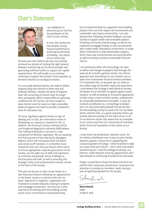# Chair's Statement



I am delighted to welcome you to my first Annual Report as the Chair of your Society.

In 2015, the Society has had another strong financial performance, achieving record levels of lending. I am proud of our record over

the past year and I believe we have successfully achieved our priority of striking the right balance between maintaining our financial strength and generating sufficient profit to support our capital requirements. This will enable us to continue investing to support the Society's future growth, as we work towards our ecological mission.

As a mutually owned business, we need to deliver ongoing long-term benefit to both new and existing members. Despite the Bank of England base rate remaining at historic lows for longer than anticipated, which creates difficult operating conditions for the Society, we have sought to keep interest rates for savers as high as possible, balanced against the need to provide competitive rates for borrowers too.

The busy regulatory agenda shows no sign of abating and, in 2015, we continued to invest in developing our capacity to respond to this. In addition, the Financial Conduct Authority (FCA) and Prudential Regulation Authority (PRA) believe that holding individuals to account is a key component of effective regulation. We are awaiting the final outcome of the new Senior Managers' Regime, which will encompass both the Board and certain staff members. It is therefore more important than ever that your Board, which exists to ensure appropriate corporate governance of the Society, has the right mix of skills and experience to scrutinise and provide critical challenge to the Executive and staff, as well as ensuring that Ecology's ethics and environmental mission remain at the heart of the Society.

This year we ask you to elect Louise Power as a Non-Executive Director following her appointment to the Board. Louise is a solicitor with over 20 years' experience in litigation, negotiation and mediation to resolve disputes relating to property and mortgage transactions. She also has a wide experience of working with the building society sector and is committed to sustainable living.

Our increased lending has supported more building projects than ever that respect the environment and sustainable, low impact communities. I am also pleased that, following member feedback, we have started to support small scale renewable projects including community owned energy, as well as our traditional mortgage lending. In 2015, we partnered with crowd funder, Abundance Investments, to make direct investments in solar photovoltaic projects, which have clear environmental and social benefits as well as aiming to produce sustainable financial returns.

I am passionate about the role Ecology can have to deliver real change to people's lives through the work we do to build a greener society. Our ethical approach and commitment to our mission sets us apart from mainstream financial services providers. It is imperative that, as we grow, we can meet an ever wider range of members needs and aspirations. I truly believe that Ecology is well placed to harness the power of our members to agitate against social injustice, as well as leading on innovative approaches to help create a more inclusive society, underpinned by sustainable development principles. In 2015, we received accreditation as a Living Wage employer and I am also particularly pleased that we are also the first building society to receive the Fair Tax Mark, which confirms that, as a good corporate citizen, we actively welcome paying our fair share of tax. In all of our work we remain very aware that our mandate to act comes only from our community of members, which forms the foundation of the culture of our Society.

I must thank my predecessor, Malcolm Lynch, for his tireless contribution over 17 years to your Society. Malcolm played a critical role in supporting the sustained growth of Ecology – when he joined in 1998 our assets were just £26.4m – and in 2015 total assets reached £145.9m. I had the privilege of serving, as a Director, under Malcolm since my appointment and I look forward to continuing to build on his hard work.

Finally, I would like to thank the Board and all of our staff for their continued commitment, hard work and attention to serving our members' needs, during a year of significant growth for the Society.

**Steve Round** *Chair* 4 March 2016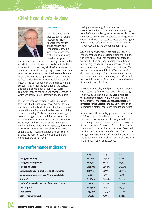# **Chief Executive's Review**



#### **Overview**

I am pleased to report that Ecology has again recorded excellent financial results with a third consecutive year of record lending, significantly increased profitability and strong overall asset growth

underpinned by record levels of savings balances. The growth in profitability was achieved despite further increases in our cost base, which reflect the need to continue to invest in our capacity to meet increasing regulatory requirements. Despite the record lending levels, there was no compromise in our commitment to focus on lending for environmental and social impact. We also maintained our adherence to high ethical standards for the operation of the Society through our environmental policy, our social commitments and the open and transparent way in which we deal with our customers and members.

During the year, we continued to take measures to ensure that the inflows of savers' deposits were maintained at levels which supported the increased demand for lending, but reduced our overall holding of excess liquidity. We launched our new savings accounts range in March and then increased the maximum balance on these accounts in December. However, with the extension of the Funding for Lending Scheme, which was unexpected, the current low interest rate environment shows no sign of abating, which means that it remains difficult to balance the needs of savers whilst ensuring our mortgages are competitive.

Having grown strongly in 2014 and 2015, to strengthen our foundations we are now pursuing a period of more modest growth. Consequently, as we continue to reinforce our mission to build a greener society, we have taken steps to focus our lending on projects which offer the greatest gains in terms of carbon reductions and environmental impact.

As an ethical financial services organisation, it is important that our values remain embedded in the Society's operations. I am therefore delighted that we have built on our longstanding commitment to a fair pay ratio to limit maximum salaries and have been awarded Living Wage Accreditation. We have also been awarded the Fair Tax Mark, which demonstrates our genuine commitment to be open and transparent about the Society's tax affairs and pay the right amount of corporation tax at the right time and in the right place.

We continued to play a full part in the promotion of social economy finance internationally, including contributing to the work of the **Global Alliance for Banking on Values**, while working to build the capacity of the **International Association of Investors in the Social Economy** as it expands its membership rapidly into South America and Africa.

A summary of the main key performance indicators (KPIs) used by the Board is provided below. Please note that, as a result of changes to the UK accounting standards, we are required to change our financial reporting framework (from old UK GAAP to FRS 102) which has resulted in a number of restated KPIs for previous years. A detailed breakdown of the changes to the Statement of Comprehensive Income and Statement of Financial Position are also included in the Annual Report and Accounts.

### **Key Performance Indicators**

|                                                   | 2015    | 2014       | 2013      |
|---------------------------------------------------|---------|------------|-----------|
| <b>Mortgage lending</b>                           | £42.1m  | £23.1 $m$  | £18.4 $m$ |
| Mortgage asset growth                             | 24.29%  | 9.92%      | 7.15%     |
| <b>Savings balances</b>                           | £134.7m | £129.1 $m$ | £116.6m   |
| Liquid assets as a % of shares and borrowings     | 21.83%  | 34.77%     | 34.27%    |
| Management expenses as a % of mean total assets   | 1.46%   | 1.38%      | 1.34%     |
| Net profit                                        | £0.881m | £0.566m    | £0.341m   |
| Profit after taxation as a % of mean total assets | 0.62%   | 0.43%      | 0.29%     |
| Tier 1 capital                                    | £7.736m | £6.851m    | £6.313m   |
| <b>Total assets</b>                               | £145.9m | £137.9m    | £124.6m   |
| AGM - voting turnout                              | 16.54%  | 15.93%     | 18.18%    |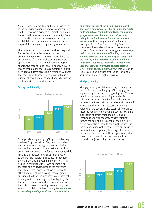More detailed commentary on these KPIs is given in the following sections, along with commentary on the service we provide to our members, and our impact on the environment and community. Each of the sections below contains comment in *green* to highlight our commitment to environmental responsibility and good corporate governance.

The Society's annual accounts have been prepared for the first time under a new mandatory accounting framework. The Board have chosen to adopt FRS 102 (The Financial Reporting Standard applicable in the UK and Republic of Ireland) with an effective date of transition of 1 January 2014. This means that a number of 2014 comparative figures have been adjusted accordingly. Members will note that these new standards have also resulted in a number of new disclosures and changes to existing disclosures in the annual accounts.

#### **Savings and liquidity**



Savings balances grew by 4.3% by the end of 2015, reaching £134.7m (up from £129.1m at the end of the previous year). During 2015, we launched a new product range which was designed to allow access to our savings range for new members, while limiting the increase in funds as far as possible to ensure that liquidity did not rise further from the high levels at the beginning of the year. This helped us ensure that there was no impact on the rates paid to savers. Despite the continued low interest rate environment, we were able to attract and accept more savings than originally anticipated to fund the increases in our sustainable lending, whilst continuing to reduce liquidity. By the end of 2015, we were able to loosen some of the restrictions on our savings account range to support the higher levels of lending. *We see our role as providing a savings service for those who wish* 

*to invest in pursuit of social and environmental goals, preferring where possible to source our funds for lending direct from individuals and community groups supportive of our mission, rather than taking in wholesale money from other fi nancial institutions.* This is why we continued not to participate in the Funding for Lending Scheme, which would have allowed us to access a cheaper source of funds to lend on as mortgages. *We always seek to restrict the amount of funding that is not lent out to ensure that the majority of savers funds are creating value in the real economy and have made good progress to reduce this so that at the year end, liquidity levels were at a signifi cantly lower level of 21.83% (2014: 34.77%).* This also helps reduce costs and increase profitability so we can keep savings rates as high as possible.

#### **Mortgage lending**

Mortgage asset growth increased significantly on the previous year reaching 24.29% (2014: 9.92%) supported by record net lending of £29.2m. We also established a new gross lending record of £42.1m. This increased level of lending first and foremost represents an increase in our positive environmental impact, but the ability to increase the lending volumes of the Society is also essential if we are to meet the needs of more potential savers. New-build in the form of design methodologies, such as Passivhaus and higher energy efficiency ratings, formed the bulk of our residential lending in 2015 but we were also pleased to see a slight increase in the number of renovation cases, given our desire to make an impact regarding the energy efficiency of the existing housing stock. These figures are further boosted by the investments we have made in renewable projects during the course of 2015.



#### Mortgage Assets (£m)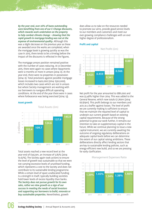*By the year-end, over 26% of loans outstanding*  were benefiting from one of our C-Change discounts, *which rewards work undertaken on the property to help combat climate change – showing that the rapid growth in mortgage lending was not at the expense of environmental quality.* Although this was a slight decrease on the previous year as these are awarded once the works are completed, when the mortgage book is growing quickly as was the case in 2015, there tends to be a timelag before the impact of the discounts is reflected in the figures.

The mortgage arrears position remained positive with the number of cases reducing. At 31 December 2015, there were again no cases where repayments were 12 months or more in arrears (2014: 0). At the year-end, there were no properties in possession (2014: 0). Total provisions against possible mortgage losses increased to £402,000 (2014: £302,000), which includes two cases which are not in arrears but where Society management are working with our borrowers to navigate difficult operating conditions. At the end of the year there were 11 cases where forbearance was being exercised (2014: 13).



**Asset growth**

Total assets reached a new record level at the year-end of £145.9m, an increase of 5.85% (2014: 10.62%). The Society again took actions to ensure the level of growth was sustainable so that we were not carrying excessive levels of unutilised funding, which represents a cost to the Society and does not contribute to its sustainable lending programme. While a certain level of spare unallocated funding is a strength in itself, typically building societies hold lower levels of excess liquidity than banks. *The Society does not pursue growth for its own sake, rather we view growth as a sign of our success in meeting the needs of social investors and supporting our borrowers to build, renovate or buy sustainable properties.* Nevertheless, growth

does allow us to take on the resources needed to promote our aims, provide good service levels to our members and customers and meet our ever-growing compliance challenges with an ever higher degree of professionalism.

#### **Profit and capital**



Net profit for the year amounted to £881,000 and was 55.48% higher than 2014. This was added to the General Reserve, which now totals £7.760m (2014: £6.879m). This profit belongs to our members and acts as a buffer against losses. The level of profit we are currently making is sufficient to ensure that we maintain the required level of capital to underpin our current growth based on existing capital requirements. Because of the strong potential to grow our work further, it remains our intention to take on supplementary capital in the future. While we continue planning to issue a new capital instrument, we are currently awaiting the outcome of ongoing regulatory deliberations on adequate capital levels before we can determine the extent of our capital raising ambitions. These deliberations directly affect lending sectors that are key to sustainable lending policies, such as energy-efficient new build, and so we are pressing for early clarification.

Management Expenses Ratio

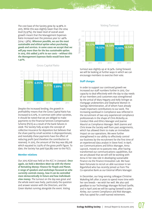The cost base of the Society grew by 14.98% in 2015. While this was slightly lower than the 2014 level (15.97%), the lower level of overall asset growth meant that the Management Expenses Ratio increased over the previous year to 1.46% (2014: 1.38%). *Wherever possible, we use the most sustainable and ethical option when purchasing goods and services. In some cases we accept that we will pay more than for the less sustainable option. In 2015, this added 3.06% to our costs – without this the Management Expenses Ratio would have been 1.42%.*



Gross Capital Ratio

Despite the increased lending, the growth in profi tability means that the Gross Capital Ratio has increased to 6.10%. In common with other societies, it should be noted that we are obliged to make payments to the Financial Services Compensation Scheme (FSCS) as a result of the bank failures in 2008. The Society fully accepts the concept of collective insurance for depositors but believes that the share paid by small societies is disproportionate, and inevitably these payments have the effect of reducing profit (and therefore the contribution to reserves). In 2015, the amount of the levy was £85,018 which equated to 7.92% of the gross profit figure. To date, the Society has paid £341,882 over to the FSCS.

#### **Member relations**

Our 2015 AGM was held at the ACC in Liverpool. *Once again, we held a Members Meet Up with the theme of Remaking Money: Finance for People and Planet. A range of speakers and workshops focussed on who currently controls money, how it can be controlled more democratically in future and how individuals view money.* The turnout on the day was great and the whole event was lively, particularly the question and answer session with the Directors, and the Green Market running alongside the event. Voting

Voting Turnout



turnout was slightly up at 16.54%. Going forward, we will be looking at further ways in which we can encourage members to exercise their vote.

#### **Staff changes**

In order to support our continued growth we increased our staff numbers further in 2015. Our capacity to deal effectively with the day to day needs of our members and customers was strengthened by the arrival of Mary Hegarty and Kelly Stringer as mortgage underwriters and Stephanie Morton in Savings Administration, all of whom have already made important contributions to our work. The increasing workload in Compliance was reflected in the recruitment of two very experienced compliance professionals in the shape of Chris Rickerby as Conduct Risk and Ethics Manager and Joanne Maurizi as Compliance Manager. Both Joanne and Chris know the Society well from past assignments, which has allowed them to make an immediate impact on our operations. We were further strengthened in our ability to effectively control our business by the recruitment for the first time of an experienced data analyst in Steve Ford. In April, our Communications and Ethics Manager, Anna Laycock, moved on to pastures new, after having transformed our communications capabilities, but we are pleased that we will still be working with Anna in her new role in developing sustainable finance via the Finance Innovation Lab. We have been fortunate to recruit an able successor in Ian Rigarlsford who has recently joined us from The Co-operative Bank as our External Affairs Manager.

In December, our long-serving colleague Christine Wakeling left after 21 years to spend more time with her rare breeds – we wish her well. We also said goodbye to our Technology Manager Richard Saville, and in April 2016 we will be saying farewell to John Ainley, our current Compliance and Risk Manager, who has opted for a well-earned retirement.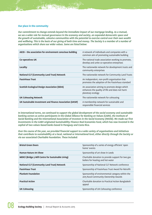#### **Our place in the community**

*Our commitment to change extends beyond the immediate impact of our mortgage lending. As a mutual, we see a wider role for mutual governance in the economy and society, an expanded democratic space and the growth of sustainable, cohesive communities with the potential to exercise control over their own wealth and wellbeing. This is the basis of our giving of both time and money. The Society is a member of a number of organisations which share our wider values. Some are listed below:*

| AECB - the association for environment conscious building | A network of individuals and companies with a<br>common aim of promoting sustainable building                        |
|-----------------------------------------------------------|----------------------------------------------------------------------------------------------------------------------|
| <b>Co-operatives UK</b>                                   | The national trade association working to promote,<br>develop and unite co-operative enterprises                     |
| <b>Locality</b>                                           | The nationwide network for development trusts and<br>community enterprises                                           |
| <b>National CLT (Community Land Trust) Network</b>        | The nationwide network for Community Land Trusts                                                                     |
| <b>Passivhaus Trust</b>                                   | An independent, non-profit organisation that<br>promotes the adoption of the Passivhaus standard                     |
| <b>Scottish Ecological Design Association (SEDA)</b>      | An association aiming to promote design which<br>enhances the quality of life and does not harm<br>planetary ecology |
| <b>UK Cohousing Network</b>                               | The nationwide network for cohousing                                                                                 |
| UK Sustainable Investment and Finance Association (UKSIF) | A membership network for sustainable and<br>responsible financial services                                           |

*In international terms, we continued to support the global development of the social economy and sustainable*  banking sectors as active participants in the Global Alliance for Banking on Values (GABV), the Institute of *Social Banking and the International Association of Investors in the Social Economy (INAISE). We made our fi rst investments in the GABV originated Sustainability-Finance-Real Economies Fund, which has now invested in the capital of two values-based banks based in Paraguay and Costa Rica.*

*Over the course of the year, we provided financial support to a wide variety of organisations and initiatives that contribute to sustainability at a local, national or international level, either directly through the Society or via our associated Charitable Foundation. These included:*

| <b>Bristol Green Doors</b>                                 | Sponsorship of a series of energy efficient 'open<br>home' events                         |
|------------------------------------------------------------|-------------------------------------------------------------------------------------------|
| <b>Human Nature Art Show</b>                               | Sponsorship of art show in Leeds                                                          |
| <b>MERCi (Bridge 5 Mill Centre for Sustainable Living)</b> | Charitable donation to provide support for two gas<br>boilers for heating and hot water   |
| <b>National CLT (Community Land Trust) Network</b>         | Sponsorship of National CLT Network conference                                            |
| <b>Passivhaus Trust</b>                                    | Sponsorship of Passivhaus Trust Award for Retrofit                                        |
| <b>Plunkett Foundation</b>                                 | Sponsorship of environmental category within the<br>2015 Rural Community Ownership Awards |
| <b>Practical Action</b>                                    | Charitable donation to Practical Action Bangladesh<br>appeal                              |
| <b>UK Cohousing</b>                                        | Sponsorship of UK Cohousing conference                                                    |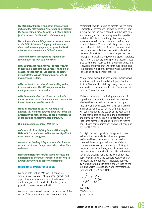*We also gifted time to a number of organisations including the International Association of Investors in the Social Economy (INAISE), and Home Start Craven (which supports families with children under 5).* 

*We maintain shareholdings in social ventures such as the Ethical Property Company and the Phone Co-op and, where appropriate, we place funds with other social economy fi nancial institutions.*

*The main internal developments regarding our Environment Policy in 2015 were that:* 

■ We upgraded the company car due for renewal *in 2015 from a standard hybrid model to a plug-in version, so that both our vehicles will be able to use our electric vehicle charging point as well as members and visitors.* 

■ We overhauled our rainwater harvesting system *in order to improve the efficiency of our water management and consumption.*

■ We have maintained our 'Green' accreditation *under the Investors in the Environment scheme – the highest level it is possible to obtain.*

*While an extension to our HQ building is still planned, this has been deferred as we are taking the opportunity to make changes to the internal layout of the building to accommodate more staff.*

*Our main commitments for 2016 are to:*

■ *Convert all of the lighting in our HO building to* LEDs, which we anticipate will result in a significant *reduction in our energy use.* 

■ *Amend our Lending Policy to ensure that it takes account of climate change adaptation such as flood resilience.* 

■ *Further increase the level of staff awareness and understanding of our environmental and ecological approach by providing appropriate training.* 

#### **Future development of the Society**

We anticipate that, in 2016, we will consolidate several successive years of significant growth and expect lower increases in lending levels as we focus our lending on projects which offer the greatest gains in terms of carbon reductions.

We gave a cautious welcome to the outcomes of the successful COP21 Paris Climate agreement, which

commits the world to binding targets to keep global temperature increase well below 2 degrees. At long last, we believe the world could be on the path to a low carbon system. However, against that positive backdrop, the strength of the global economy remains uncertain due to continued political and economic factors. We are particularly concerned that the continued falls in the oil price, combined with the Government's decision to significantly reduce the level of subsidies, may have an impact on the take-up of renewable energy technologies. Therefore, the task for the Society in the present circumstances is to continue to invest both in energy efficiency and renewable energy so that we contribute to the long term reduction in energy demand while supporting the take up of clean energy sources.

As a member owned business, our members' views are critical to the continued development of the Society. Given further staffing changes, we were not in a position to survey members in 2015 and we will take this forward in 2016.

We have committed to reducing the number of paper-based communications with our members, which will help us reduce the use of our paper, save time and lower costs. We have also invested in enhancements to our online offering and this will continue during the course of the year. While we are committed to develop our digital strategy and provide a first class online offering, we know that some members continue to prefer to receive paper-based communications and we will continue offering this choice.

The high levels of regulatory change which have followed the financial crisis show no signs of easing and has contributed to our increasing costs. While we recognise that many of these changes are necessary to address past failings in the wider banking industry, we still believe that their implementation should be calibrated to the size of the organisation and the level of risk they pose. We will continue to support positive change to encourage a proportional regulatory approach by working through partners in the UK such as the Building Societies Association and internationally through both GABV and INAISE.

**Paul Ellis** *Chief Executive* 4 March 2016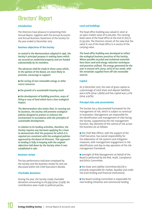# Directors' Report

#### **Introduction**

The Directors have pleasure in presenting their Annual Report, together with the Annual Accounts and Annual Business Statement of the Society for the year ended 31 December 2015.

#### **Business objectives of the Society**

*As stated in the Memorandum adopted in 1998, the Society's principal purpose is making loans which are secured on residential property and are funded substantially by its members.*

*The advances shall be made in those cases which, in the opinion of the Board, are most likely to promote, encourage or support:*

■ *the saving of non-renewable energy or other scarce resources* 

■ *the growth of a sustainable housing stock* 

■ *the development of building practices, ways of living or uses of land which have a low ecological impact.*

*The Memorandum also states that, in carrying out its business, the Society will promote ecological policies designed to protect or enhance the environment in accordance with the principles of sustainable development.*

*In relation to its lending activities, therefore, the Society requires any borrower applying for a loan to demonstrate that the purposes for which it is required are consistent with the ecological policies approved by the Board of Directors. This approach to lending is fully in keeping with the original objectives laid down by the Society when it was established in 1981.*

#### **Business review**

The key performance indicators employed by the Society and the business review for 2015 are discussed within the Chief Executive's Review.

#### **Charitable donations**

During the year, the Society made charitable donations amounting to £10,939 (2014: £7,978). No contributions were made to political parties.

#### **Land and buildings**

The head office building was valued in 2007 at an open market value of £1,100,000. The carrying book value of the head office at the end of 2015 is £1,135,000. The Directors remain of the view that the value in use of the head office is in excess of the carrying value.

The head office building was developed to reflect *the ecological business practices of the Society. Where possible recycled and reclaimed materials have been used and energy reduction techniques and practices utilised. The energy generated for the year is around 26% (2014: 25%) of our needs, with the remainder supplied from off-site renewable sources.* 

#### **Capital**

At 31 December 2015, the ratio of gross capital as a percentage of total share and deposit liabilities was 6.10% (2014: 5.89%) and free capital was 5.21% (2014: 4.92%).

#### **Principal risks and uncertainties**

The Society has a documented framework for the management of risk, which is subject to continual re-evaluation. Management are responsible for the identification and management of risks facing the Society, supported by the risk management function. Key elements of the control of risk across the business are as follows:

 $\blacksquare$  the Chief Risk Officer, with the support of the Chief Executive, has overall responsibility for the elaboration of risk systems and mitigation measures, with management engagement in risk identification and day-to-day operation of the risk management framework

- oversight of Risk Management on behalf of the Board is performed by the Risk, Audit, Compliance and Ethics Committee
- the Asset and Liability Committee (ALCO) is primarily responsible for market, liquidity and credit risk (core lending and financial institutions)

■ the Board Lending Committee is responsible for new lending initiatives and commercial lending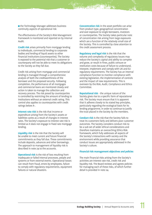■ the Technology Manager addresses business continuity aspects of operational risk

The effectiveness of the Society's Risk Management Framework is monitored and reported on by Internal Audit.

**Credit risk** arises primarily from mortgage lending to individuals, commercial lending to corporate bodies and lending of liquid assets to other financial institutions (counterparties). The Society is exposed to the potential risk that a customer or counterparty will not be able to meet its obligations to the Society as they fall due.

Credit risk arising from mortgage and commercial lending is managed through a comprehensive analysis of both the creditworthiness of the borrower and the proposed security. Following completion, the performance of all mortgages and commercial loans are monitored closely and action is taken to manage the collection and recovery process. The risk posed by counterparties is controlled by restricting the amount of lending to institutions without an external credit rating. This control also applies to counterparties with credit ratings below A-.

**Interest rate risk** is the risk that income or expenditure arising from the Society's assets or liabilities varies as a result of changes in interest rates. The Society's exposure to interest rate risk is limited as it does not engage in fixed rate mortgage lending.

**Liquidity risk** is the risk that the Society will be unable to meet current and future financial commitments as they fall due. These commitments include deposits, advances and other borrowings. The approach to management of liquidity risk is described in note 24 to the accounts.

**Operational risk** is the risk of loss resulting from inadequate or failed internal processes, people and systems or from external events. Operational losses can result from fraud, errors by employees, failure to comply with regulatory requirements, equipment failures or natural disasters.

**Concentration risk** in the asset portfolio can arise from product type, geographical concentration and over exposure to single borrowers, investors or counterparties. The Society takes particular note of concentration risk arising from large exposures which are a function of the relatively small size of the Society. This is controlled by close attention to the credit assessment process.

**Regulatory and legal risk** is the risk that the volume and complexity of regulatory issues may reduce the Society's capital and ability to compete and grow, or result in fines, public censure or restitution costs because of failure to understand, interpret, implement and comply with UK and EU regulatory requirements. The Society has an internal compliance function to monitor compliance with existing legislation, the implementation of controls and the impact of new requirements. This is overseen by the Risk, Audit, Compliance and Ethics Committee.

**Reputational risk** - the unique nature of the Society gives rise to a specific form of reputational risk. The Society must ensure that it is apparent that it adheres closely to its stated key principles, particularly regarding the ecological basis for its lending programme, in order to continue to justify the trust placed in the Society by the members.

**Conduct risk** is the risk that the Society fails to treat its customers fairly and delivers poor customer outcomes. The Society considers conduct risk to be a sub-set of wider ethical considerations and therefore maintains an overarching Ethics Risk framework, which fully addresses all aspects of the Society's interactions with society and the environment while providing assurance that conduct issues are appropriately addressed in the Society's culture.

#### **Financial risk management objectives and policies**

The main financial risks arising from the Society's activities are interest rate risk, credit risk and liquidity risk. The Board reviews and agrees policies for managing each of these risks, of which further detail is provided in note 24.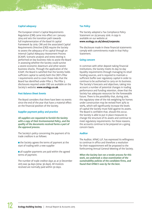#### **Capital adequacy**

The European Union's Capital Requirements Regulation (CRR) came into effect on 1 January 2014 and sets the transition path towards full implementation of the Basel III capital framework by 2019. CRR and the associated Capital Requirements Directive (CRD) require the Society to assess the adequacy of its capital through an Internal Capital Adequacy Assessment Process (ICAAP). Scenario analysis and stress testing is performed on key business risks to assist the Board in assessing whether the Society could survive a severe economic downturn and other severe business shocks. Through the application of the ICAAP, the Board is satisfied that the Society holds sufficient capital to satisfy both the CRD's Pillar 1 requirements and to cover those risks that the Board has identified under Pillar 2. The Pillar 3 disclosures required under CRD are available on the Society's website: **www.ecology.co.uk**.

#### **Post Balance Sheet Events**

The Board considers that there have been no events since the end of the year that have a material effect on the financial position of the Society.

#### **Supplier payment policy and practice**

*All suppliers are requested to furnish the Society with a copy of their Environmental Policy, and the quality of the documents received forms a part of the approval process.*

The Society's policy concerning the payment of its trade creditors is as follows:

■ the Society agrees the terms of payment at the start of trading with a new supplier

■ all supplier payments are paid within the agreed terms of payment.

The number of trade creditor days as at 31 December 2015 was 34 days (2014: 36 days). All invoices received are normally paid within 30 days.

#### **Tax Policy**

The Society adopted a Tax Compliance Policy Statement on 29 January 2016. A copy is available on our website at **www.ecology.co.uk/about/corporate**.

The disclosure made in these financial statements comply with commitments made in that Policy Statement.

#### **Going concern**

In common with other deposit-taking financial institutions, the Society meets its day-to-day liquidity requirements through managing its retail funding sources, and is required to maintain a sufficient buffer over regulatory capital in order to continue to be authorised to carry on its business. The Society's forecasts and objectives, taking into account a number of potential changes in trading performance and funding retention, show that the Society has adequate resources for the foreseeable future. There is the possibility that, during 2016, the regulatory view of the risk weighting for homes under construction may be revised from 35% to 100%, which will significantly increase the levels of capital the Society must hold against its assets. The Board is confident that, should this occur, the Society is able to put in place measures to change the structure of its assets and continue to meet regulatory requirements. For these reasons, the accounts continue to be prepared on a going concern basis.

#### **Auditor**

The Auditor, KPMG LLP, has expressed its willingness to continue in office and therefore a resolution for their reappointment will be proposed to the forthcoming Annual General Meeting of the Society.

*When the Society last ran a tender process for this work, we undertook a close examination of the sustainability policies of the candidate fi rms, and found that KPMG's was by far the best.*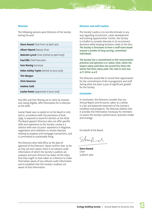#### **Directors**

The following persons were Directors of the Society during the year:

**Alison Vipond** Deputy Chair

**Malcolm Lynch** Chair (retired 25 April 2015)

**Paul Ellis** Chief Executive

**Pam Waring** Secretary

**Helen Ashley Taylor** (retired 27 June 2015)

**Tim Morgan**

**Chris Newman**

**Andrew Gold**

**Louise Power** (appointed 17 June 2015)

Paul Ellis and Pam Waring are to retire by rotation and, being eligible, offer themselves for re-election at the AGM.

Louise Power was co-opted on to the Board in 2015 and in, accordance with the provisions of Rule 25(4), is required to stand for election at the AGM. The Board appoint Directors who can offer specific skills and experience to the Society. Louise is a solicitor with over 20 years' experience in litigation, negotiation and mediation to resolve disputes relating to property and mortgage transactions, and is committed to sustainable living.

The Directors who held office at the date of approval of the Directors' report confirm that, so far as they are each aware, there is no relevant audit information of which the Society's auditors are unaware and each Director has taken all the steps that they ought to have taken as a Director to make themselves aware of any relevant audit information and to establish that the Society's auditors are aware of that information.

#### **Directors and staff matters**

The Society's policy is to not discriminate in any way regarding recruitment, career development and training opportunities. Further, the Society is mindful to consider diversity in its recruitment decisions while keeping business needs to the fore. *The Society is fortunate to have a staff team based around a number of long-serving, committed individuals.* 

*The Society has a commitment to fair remuneration practices and operates a 5:1 salary ratio, where the largest salary paid does not exceed five times the lowest full-time salary paid. The ratio in 2015 was 4.7:1 (2014: 4.4:1)*

The Directors would like to record their appreciation for the commitment of the management and staff during what has been a year of significant growth for the Society.

#### **Conclusion**

In conclusion, the Directors consider that our Annual Report and Accounts, taken as a whole, is a fair and balanced statement of the Society's condition and prospects. The Directors believe that it provides the information necessary for members to assess the Society's performance, business model and strategy.

On behalf of the Board

**Steve Round**  *Chair* 4 March 2016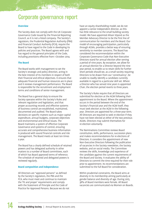# Corporate governance report

#### **Overview**

The Society does not comply with the UK Corporate Governance Code issued by the Financial Reporting Council, as it is not a listed company. The Society's regulators, the Prudential Regulation Authority (PRA) and Financial Conduct Authority (FCA), require the Board to have regard to the Code in developing its policies and practices. The Board agrees with and has regard to the general principles of the Code, including provisions effective from 1 October 2014.

#### **The Board**

The Board works with management to set the Society's strategic and policy direction, acting in the best interest of its members in respect of both their financial and ethical objectives. It ensures that adequate financial and human resources are in place and it reviews management performance. The Board is responsible for the recruitment and employment terms and conditions of senior management.

The Board has a general duty to ensure the Society operates within the Society's Rules and relevant regulation and legislation, and that proper accounting records and effective systems of business control are established, maintained, documented and audited. The Board takes decisions on specific matters such as major capital expenditure, annual budgets, corporate objectives and environmental and ethical issues. The Board maintains a system of effective Corporate Governance and systems of control, ensuring accurate and comprehensive business information is produced with sound financial controls and risk management. The Board meets at least ten times a year.

The Board has a clearly defined schedule of retained powers and has delegated authority in other matters to a number of Board committees, each of which has Board approved terms of reference. The schedule of retained and delegated powers is reviewed regularly.

#### **Board composition and independence**

All Directors are "approved persons" as defined by the Society's regulators, the PRA and the FCA, who must meet and continue to maintain the 'fit and proper' requirements and comply with the Statement of Principle and the Code of Practice for Approved Persons. Because we do not have an equity shareholding model, we do not appoint a senior independent director, as this has little relevance to the small building society model. We have appointed Alison Vipond as the Member Advocacy Director to be the first line of communication for members and the Board. Our model of encouraging participation, particularly through AGMs, provides a better way of ensuring sensitivity to member concerns. The Board has considered the recommendation within the Corporate Governance Code that Non-Executive Directors stand for annual election after serving a period of nine years. By exception, we allow for an annual election for a Director beyond the nine year period, to enable us to retain skills for further short periods should we, as a small society requiring Directors to be drawn from our 'constituency', be unable to readily identify a candidate currently available in regard to a particular skill set. Where a Director who has served nine years is appointed Chair, the election period reverts to three years.

The Society's Rules require that all Directors are submitted for election at the AGM following their appointment to the Board. Where the appointment occurs in the period between the end of the Society's financial year and the AGM itself, they must seek election at the AGM in the following year. Directors are appointed for a three-year term. All Directors are required to seek re-election if they have not been elected at either of the two previous AGMs. Directors may submit themselves for re-election voluntarily.

The Nominations Committee reviews Board constitution, skills, performance, succession plans and makes recommendations for re-elections of Directors. It considers the appointment of new Non-Executive Directors following the publication of vacancies in the Society newsletter, the Society website, and on social media. The Committee reviews the skills, knowledge and experience of the candidate against the current requirements of the Board and Society. It evaluates the ability of Directors to commit the time required for their role prior to appointment. Its recommendations are submitted to the full Board for consideration.

Within prudential constraints, the Board aims at diversity in its membership aiming particularly at gender balance and diversity of age. During 2015, 38% of Board members were female. All Board vacancies are communicated via Women on Boards.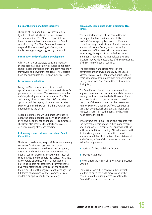#### **Roles of the Chair and Chief Executive**

The roles of Chair and Chief Executive are held by different individuals with a clear division of responsibilities. The Chair is responsible for leadership of the board and ensuring the Board acts effectively. The Chief Executive has overall responsibility for managing the Society and implementing strategies agreed by the Board.

#### **Information and professional development**

All Directors are encouraged to attend industry events, seminars and training courses to maintain an up to date knowledge of the industry, regulatory framework and environmental issues. All Directors have had appropriate briefings on industry issues.

#### **Performance evaluation**

Each year Directors are subject to a formal appraisal at which their contribution to the Board's performance is assessed. The assessment includes training, development, and attendance. The Chair and Deputy Chair carry out the Chief Executive's appraisal and the Deputy Chair and an Executive Director appraise the Chair. All other appraisals are undertaken by the Chair.

As required under the UK Corporate Governance Code, the Board undertakes an annual evaluation of its own performance and that of its committees. The Board also assesses the effectiveness of its decision-making after each meeting.

#### **Risk management, internal control and Board Committees**

The Board is collectively responsible for determining strategies for risk management and control. Senior management have the tasks of designing, operating and monitoring risk management and internal control processes. The system of internal control is designed to enable the Society to achieve its corporate objectives within a managed risk profile. The Board has established committees to give more attention to key areas of the business than is possible within regular Board meetings. The full terms of reference for these committees are available on application to the Secretary.

#### **Risk, Audit, Compliance and Ethics Committee (RACE)**

The principal functions of the Committee are to support the Board in its responsibility for maintaining an appropriate system of internal control to safeguard the funds of both members and depositors and Society assets, including assessments of business risk. The Committee receives regular reports from both the External and Internal auditors. The Internal Audit function provides independent assurance of the effectiveness of the system of internal controls.

The composition and effectiveness of the committee are reviewed annually by the Board. Membership of RACE is for a period of up to three years, extendable by no more than two additional three year periods. The Committee met four times during 2015.

The Board is satisfied that the committee has appropriate recent and relevant financial experience to carry out its duties effectively. The committee is chaired by Tim Morgan. At the invitation of the Chair of the committee, the Chief Executive, Finance Director, Chief Risk Officer, Compliance Manager, Conduct Risk and Ethics Manager and representatives from both Internal and External Audit attend meetings.

RACE reviews the Annual Report and Accounts with the external auditors and executive management and, if appropriate, recommends approval of these at the next full Board meeting. After discussion with Senior Management, the committee considered and confirmed that the key risks of mis-statement in the Society's financial statements relate to the following judgements:

- provision for bad and doubtful debts
- revenue recognition
- levies under the Financial Services Compensation Scheme

These issues were discussed with the external auditors through the audit process and at the conclusion of the audit process to confirm the Financial Statements for approval.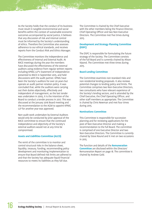As the Society holds that the conduct of its business must result in tangible environmental and social benefits within the context of sustainable economic outcomes accompanied by social justice, it believes that any discussion of risk and internal control must be informed by the Society's understanding of ethics. Therefore the Committee also assesses adherence to our ethical standards, and receives reports from the Conduct Risk and Ethics Manager.

The Committee monitors the independence and effectiveness of Internal and External Audit. At RACE meetings during the year the members have discussed the effectiveness of the external auditors using evidence from regular written reports including KPMG LLP's Statement of Independence presented to RACE in September 2015, and held discussions with the audit partner. KPMG have been the Society's auditors for over 20 years but operate an audit partner rotation policy. It was concluded that, while the auditors were carrying out their duties objectively, effectively and independent of management, as the last tender was undertaken in 2005, it is the intention of the Board to conduct a tender process in 2017. This was discussed at the January 2016 Board meeting and the recommendation to the AGM to appoint KPMG LLP for another year was approved.

Non-audit work undertaken by External Auditors would only be conducted by prior approval of the RACE committee to ensure that the continued independence and objectivity of the Society's external auditors would not at any time be compromised.

#### **Assets and Liabilities Committee (ALCO)**

The remit of the committee is to monitor and control structural risks in the balance sheet, liquidity, treasury, funding, recommending policy development and monitoring implementation to ensure that Board defined risk limits are adhered to and that the Society has adequate liquid financial resources to meets its liabilities as they fall due.

The Committee is chaired by the Chief Executive with the other members being the Finance Director, Chief Operating Officer and two Non-Executive Directors. The Committee met five times during 2015.

#### **Development and Strategy Planning Committee (DSPC)**

The DSPC is responsible for formulating the future strategy of the Society. The Committee consists of the full Board and is currently chaired by Alison Vipond. The Committee met three times during 2015.

#### **Board Lending Committee**

The Committee examines non-standard risks and non-residential lending proposals. It also reviews potential changes to lending policy and limits. The Committee comprises two Non-Executive Directors, two consultants who have relevant experience of the Society's lending sectors, and is attended by the Chief Executive, the Chief Operating Officer, and other staff members as appropriate. The Committee is chaired by Chris Newman and met four times during 2015.

#### **Nominations Committee**

This Committee is responsible for succession planning and for reviewing applications for the post of Non-Executive Director and making a recommendation to the full Board. The committee is comprised of one Executive Director and two Non-Executive Directors. The Committee is currently chaired by Steve Round and it met on two occasions in 2015.

The function and details of the **Remuneration Committee** are disclosed within the Directors' Remuneration Report on page 18. The committee is chaired by Andrew Gold.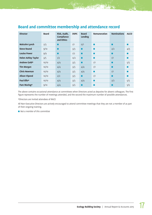| <b>Director</b>            | <b>Board</b> | Risk, Audit,<br>Compliance<br>and Ethics | <b>DSPC</b> | <b>Board</b><br>Lending | <b>Remuneration</b> | <b>Nominations</b> | <b>ALCO</b> |
|----------------------------|--------------|------------------------------------------|-------------|-------------------------|---------------------|--------------------|-------------|
| <b>Malcolm Lynch</b>       | 2/3          |                                          | 1/1         | O/1                     |                     |                    |             |
| <b>Steve Round</b>         | 9/10         |                                          | 3/3         |                         |                     | 2/2                | 4/5         |
| <b>Louise Power</b>        | 9/9          | ▬                                        | 1/2         |                         |                     |                    |             |
| <b>Helen Ashley Taylor</b> | 3/5          | 1/2                                      | 0/2         |                         |                     | 1/1                |             |
| Andrew Gold*               | 10/10        | 4/4                                      | 3/3         |                         | 1/1                 |                    | 5/5         |
| <b>Tim Morgan</b>          | 10/10        | 4/4                                      | 3/3         | 4/4                     | 1/1                 | п                  | ш           |
| <b>Chris Newman</b>        | 10/10        | 4/4                                      | 3/3         | 4/4                     |                     | 1/1                | ш           |
| <b>Alison Vipond</b>       | 10/10        | 2/2                                      | 3/3         |                         | 1/1                 | п                  | ш           |
| Paul Ellis*                | 10/10        | 4/4                                      | 3/3         | 4/4                     |                     | 2/2                | 5/5         |
| Pam Waring*                | 9/10         | 4/4                                      | 3/3         |                         |                     |                    | 5/5         |

# **Board and committee membership and attendance record**

The above contains occasional attendance at committees when Directors acted as deputies for absent colleagues. The first figure represents the number of meetings attended, and the second the maximum number of possible attendances.

\*Directors are invited attendees of RACE

All Non-Executive Directors are actively encouraged to attend committee meetings that they are not a member of as part of their ongoing training.

■ *Not a member of this committee*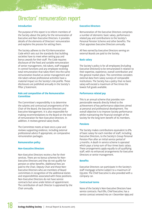# Directors' remuneration report

#### **Introduction**

The purpose of this report is to inform members of the Society about the policy for the remuneration of Executive and Non-Executive Directors. It provides details of the elements of Directors' remuneration and explains the process for setting them.

The Society adheres to the FCA Remuneration Code which sets out the standards that building societies have to meet when setting pay and bonus awards for their staff. The Code requires disclosure of the fixed and variable remuneration of senior management, risk takers, staff engaged in control functions and any employee receiving total remuneration that takes them into the same remuneration bracket as senior management and risk takers whose professional activities have a material impact on the Society's risk profile. These disclosures are published annually in the Society's Pillar 3 Statement.

#### **Role and composition of the Remuneration Committee**

The Committee's responsibility is to determine the salaries and contractual arrangements of the Chair of the Board, the Executive Directors and Executive Management. It is also responsible for making recommendations to the Board on the level of remuneration for Non-Executive Directors. In addition, it reviews general salary levels.

The Committee meets at least once a year and reviews supporting evidence, including external professional advice if appropriate, on comparative remuneration packages.

#### **Remuneration policy**

#### **Non-Executive Directors**

Non-Executive Directors receive a fee for their services. There are no bonus schemes for Non-Executive Directors and they do not qualify for pension or other benefits. Additional fees are paid to the Chair, Deputy Chair and those Non-Executive Directors who are members of Board committees in recognition of the additional duties and responsibilities associated with these positions. Non-Executive Directors do not have service contracts but serve under letters of appointment. The contribution of each Director is appraised by the Chair annually.

#### **Executive Directors**

Remuneration of the Executive Directors comprises a number of elements: basic salary, performance related pay and contributions to the Society's Personal Pension Scheme and other benefits. The Chair appraises Executive Directors annually.

All fees earned by Executive Directors serving on external Boards are paid to the Society.

#### **Basic salary**

The Society's policy is for all employees (including Executive Directors) to be remunerated in relation to their expertise, experience, overall contribution and the general market place. The committee considers external data from salary surveys of comparable institutions. The Society has a policy that no basic salary will exceed a maximum of five times the lowest full grade available.

#### **Performance related pay**

This is an annual scheme that provides nonpensionable rewards directly linked to the achievement of key performance objectives aimed at personal and professional development. The overall objective is to improve Society performance whilst maintaining the financial strength of the Society for the long term benefit of its members.

#### **Pensions**

The Society makes contributions equivalent to 8% of basic salary for each member of staff, including Executive Directors, to the Society's Group Personal Pension Plan after an initial service period of 3 months. A death in service scheme is operated which pays a lump sum of four times basic salary. These arrangements apply equally to all qualifying staff, with no enhanced arrangements for Executive Directors or senior management.

#### **Benefits**

Executive Directors can participate in the Society's staff mortgage scheme subject to a maximum of £33,000. The Chief Executive is also provided with a company car.

#### **Contractual terms**

None of the Society's Non-Executive Directors have service contracts. Paul Ellis, Chief Executive, has a service contract entered into on 1 December 1999 and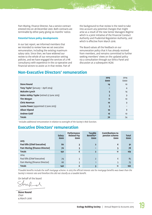Pam Waring, Finance Director, has a service contract entered into on 28 December 2001. Both contracts are terminable by either party giving six months' notice.

#### **Potential future policy developments**

In our last report, we informed members that we intended to review how we set executive remuneration, including the existing maximum salary ratio. Since then, we have widened our review to the whole of our remuneration setting policies, and we have engaged the services of a HR consultancy with experience in the co-operative and financial sectors to assist us in that review. Part of

the background to that review is the need to take into account any potential changes that might arise as a result of the new Senior Managers Regime which is a joint initiative of the Financial Conduct Authority and Prudential Regulation Authority, and which is effective from March 2016.

The Board values all the feedback on our remuneration policy that it has already received from members, and remains committed to further seeking members' views on the updated policy via a consultation through our Ethics Panel and discussion at a subsequent AGM.

### **Non-Executive Directors' remuneration**

|                                                 | 2015<br>£000 | 2014<br>£000      |
|-------------------------------------------------|--------------|-------------------|
| <b>Steve Round</b>                              | 14           | 10                |
| Tony Taylor <sup>1</sup> (January - April 2014) | -            | $\overline{4}$    |
| <b>Malcolm Lynch</b>                            | 5            | 14                |
| Helen Ashley Taylor (retired 27 June 2015)      | 5            | 9                 |
| <b>Tim Morgan</b>                               | 11           | 10                |
| <b>Chris Newman</b>                             | 10           | 9                 |
| Louise Power (appointed 17 June 2015)           | 5            | $\qquad \qquad -$ |
| <b>Alison Vipond</b>                            | 10           | 8                 |
| Andrew Gold <sup>1</sup>                        | 16           | 10                |
| <b>Totals</b>                                   | 76           | 74                |

<sup>1</sup> *Includes additional remuneration in relation to oversight of the Society's Risk function.*

### **Executive Directors' remuneration**

| 2015                                 | <b>Salary</b><br><b>£000</b> | <b>Performance</b><br><b>Related Pay</b><br>£000 | <b>Taxable</b><br>Benefits*<br>£000 | <b>Contributions to</b><br>pension scheme<br>£000 | <b>Total</b><br>£000 |
|--------------------------------------|------------------------------|--------------------------------------------------|-------------------------------------|---------------------------------------------------|----------------------|
| <b>Paul Ellis (Chief Executive)</b>  | 80                           | 3                                                | $\overline{2}$                      | 6                                                 | 91                   |
| <b>Pam Waring (Finance Director)</b> | 70                           | 3                                                | -                                   | 5                                                 | 78                   |
| <b>Totals</b>                        | 150                          | 6                                                | $\overline{2}$                      | 11                                                | 169                  |
| 2014                                 |                              |                                                  |                                     |                                                   |                      |
| Paul Ellis (Chief Executive)         | 74                           | 3                                                | $\overline{2}$                      | 6                                                 | 85                   |
| Pam Waring (Finance Director)        | 66                           | 3                                                | $\mathbf{1}$                        | 5                                                 | 75                   |
| <b>Totals</b>                        | 140                          | 6                                                | $\overline{\mathbf{3}}$             | 11                                                | 160                  |

\**Taxable benefi ts include the staff mortgage scheme. In 2015 the offi cial interest rate for mortgage benefi ts was lower than the*  Society's interest rate and therefore this did not classify as a taxable benefit.

On behalf of the board

**Steve Round** *Chair* 4 March 2016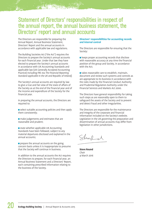# Statement of Directors' responsibilities in respect of the annual report, the annual business statement, the the annual report, the annual business<br>Directors' report and annual accounts

The Directors are responsible for preparing the Annual Report, Annual Business Statement, Directors' Report and the annual accounts in accordance with applicable law and regulations.

The Building Societies Act ("the Act") requires the Directors to prepare the Society's annual accounts for each financial year. Under that law they have elected to prepare the Society's annual accounts in accordance with UK Accounting Standards and applicable law (UK Generally Accepted Accounting Practice) including FRS 102 *The Financial Reporting Standard applicable in the UK and Republic of Ireland].* 

The Society's annual accounts are required by law to give a true and fair view of the state of affairs of the Society as at the end of the financial year and of the income and expenditure of the Society for the financial year.

In preparing the annual accounts, the Directors are required to:

■ select suitable accounting policies and then apply them consistently;

■ make judgements and estimates that are reasonable and prudent;

■ state whether applicable UK Accounting Standards have been followed, subject to any material departures disclosed and explained in the annual accounts;

**■** prepare the annual accounts on the going concern basis unless it is inappropriate to presume that the Society will continue in business.

In addition to the annual accounts the Act requires the Directors to prepare, for each financial year, an Annual Business Statement and a Directors' Report, each containing prescribed information relating to the business of the Society.

#### **Directors' responsibilities for accounting records and internal control**

The Directors are responsible for ensuring that the Society:

■ keeps proper accounting records that disclose with reasonable accuracy at any time the financial position of the group and Society, in accordance with the Act;

■ takes reasonable care to establish, maintain, document and review such systems and controls as are appropriate to its business in accordance with the rules made by the Financial Conduct Authority and Prudential Regulation Authority under the Financial Services and Markets Act 2000.

The Directors have general responsibility for taking such steps as are reasonably open to them to safeguard the assets of the Society and to prevent and detect fraud and other irregularities.

The Directors are responsible for the maintenance and integrity of the corporate and financial information included on the Society's website. Legislation in the UK governing the preparation and dissemination of annual accounts may differ from legislation in other jurisdictions.

Fugled

**Steve Round** *Chair* 4 March 2016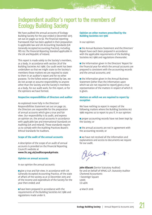# Independent auditor's report to the members of Ecology Building Society

We have audited the annual accounts of Ecology Building Society for the year ended 31 December 2015 set out on pages 22 to 56. The financial reporting framework that has been applied in their preparation is applicable law and UK Accounting Standards (UK Generally Accepted Accounting Practice), including FRS 102 *The Financial Reporting Standard* applicable in the UK and Republic of Ireland.

This report is made solely to the Society's members, as a body, in accordance with section 78 of the Building Societies Act 1986. Our audit work has been undertaken so that we might state to the Society's members those matters we are required to state to them in an auditor's report and for no other purpose. To the fullest extent permitted by law, we do not accept or assume responsibility to anyone other than the Society and the Society's members as a body, for our audit work, for this report, or for the opinions we have formed.

#### **Respective responsibilities of Directors and auditor**

As explained more fully in the Directors' Responsibilities Statement set out on page 20, the Directors are responsible for the preparation of annual accounts which give a true and fair view. Our responsibility is to audit, and express an opinion on, the annual accounts in accordance with applicable law and International Standards on Auditing (UK and Ireland). Those standards require us to comply with the Auditing Practices Board's Ethical Standards for Auditors.

#### **Scope of the audit of the annual accounts**

A description of the scope of an audit of annual accounts is provided on the Financial Reporting Council's website at **www.frc.org.uk/auditscopeukprivate**.

#### **Opinion on annual accounts**

In our opinion the annual accounts:

■ give a true and fair view, in accordance with UK Generally Accepted Accounting Practice, of the state of affairs of the society as at 31 December 2015 and of the income and expenditure of the Society for the year then ended; and

■ have been prepared in accordance with the requirements of the Building Societies Act 1986 and regulations made under it.

#### **Opinion on other matters prescribed by the Building Societies Act 1986**

In our opinion:

■ the Annual Business Statement and the Directors' Report have each been prepared in accordance with the applicable requirements of the Building Societies Act 1986 and regulations thereunder;

■ the information given in the Directors' Report for the financial year for which the annual accounts are prepared is consistent with the accounting records and the annual accounts; and

■ the information given in the Annual Business Statement (other than the information upon which we are not required to report) gives a true representation of the matters in respect of which it is given.

#### **Matters on which we are required to report by exception**

We have nothing to report in respect of the following matters where the Building Societies Act 1986 requires us to report to you if, in our opinion:

■ proper accounting records have not been kept by the Society; or

■ the annual accounts are not in agreement with the accounting records; or

■ we have not received all the information and explanations and access to documents we require for our audit.

lant.

**John Ellacott** (Senior Statutory Auditor) for and on behalf of KPMG LLP, Statutory Auditor *Chartered Accountants*  1 Sovereign Square Leeds LS1 4DA

4 March 2016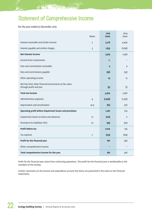# Statement of Comprehensive Income

#### *for the year ended 31 December 2015*

|                                                                                    | <b>Notes</b>   | 2015<br><b>£000</b> | 2014<br>£000 |
|------------------------------------------------------------------------------------|----------------|---------------------|--------------|
| Interest receivable and similar income                                             | $\overline{2}$ | 5,218               | 4,454        |
| Interest payable and similar charges                                               | 3              | 1,855               | (1, 858)     |
| <b>Net interest income</b>                                                         |                | 3,363               | 2,596        |
| Income from investments                                                            |                | 12                  |              |
| Fees and commissions receivable                                                    |                | 9                   | 9            |
| Fees and commissions payable                                                       |                | (38)                | (32)         |
| Other operating income                                                             |                | 23                  | 15           |
| Net loss from other financial instruments at fair value<br>through profit and loss |                | (5)                 | (1)          |
| <b>Total net income</b>                                                            |                | 3,364               | 2,587        |
| Administrative expenses                                                            | $\overline{4}$ | (1,996)             | (1,736)      |
| Depreciation and amortisation                                                      | 13,15          | (81)                | (77)         |
| Operating profit before impairment losses and provisions                           |                | 1,287               | 774          |
| Impairment losses on loans and advances                                            | 12             | (178)               | 11           |
| Provisions for liabilities FSCS                                                    | 22             | (35)                | (50)         |
| <b>Profit before tax</b>                                                           |                | 1,074               | 735          |
| Tax expense                                                                        | $\overline{7}$ | (193)               | (169)        |
| Profit for the financial year                                                      |                | 881                 | 566          |
| Other comprehensive income                                                         |                |                     |              |
| Total comprehensive income for the year                                            |                | 881                 | 566          |

Profit for the financial year arises from continuing operations. The profit for the financial year is attributable to the members of the Society.

Further comments on the income and expenditure account line items are presented in the notes to the financial statements.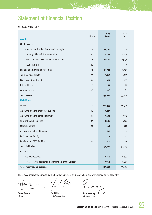# Statement of Financial Position

#### *at 31 December 2015*

|                                                       | <b>Notes</b>     | 2015<br>£000   | 2014<br>£000 |  |
|-------------------------------------------------------|------------------|----------------|--------------|--|
| <b>Assets</b>                                         |                  |                |              |  |
| Liquid assets                                         |                  |                |              |  |
| Cash in hand and with the Bank of England             | 8                | 12,790         |              |  |
| Treasury bills and similar securities                 | 10 <sup>10</sup> | 5,492          | 18,228       |  |
| Loans and advances to credit institutions             | 9                | 11,460         | 23,156       |  |
| Debt securities                                       | 10 <sup>°</sup>  |                | 3,515        |  |
| Loans and advances to customers                       | 11               | 113,512        | 91,324       |  |
| Tangible fixed assets                                 | 13               | 1,283          | 1,269        |  |
| Fixed asset investments                               | 14               | 1,123          | 150          |  |
| Intangible assets                                     | 15               | 33             | 39           |  |
| Other debtors                                         | 16               | 236            | 187          |  |
| <b>Total assets</b>                                   |                  | 145,929        | 137,868      |  |
| <b>Liabilities</b>                                    |                  |                |              |  |
| <b>Shares</b>                                         | 17               | 127,433        | 121,526      |  |
| Amounts owed to credit institutions                   | 18               | 1,503          |              |  |
| Amounts owed to other customers                       | 19               | 7,309          | 7,612        |  |
| Sub-ordinated liabilities                             | 23               | 1,248          | 1,248        |  |
| Other liabilities                                     | 20               | 524            | 476          |  |
| Accrual and deferred income                           |                  | 105            | 51           |  |
| Deferred tax liability                                | 21               | $\overline{7}$ | 27           |  |
| Provision for FSCS liability                          | 22               | 40             | 49           |  |
| <b>Total liabilities</b>                              |                  | 138,169        | 130,989      |  |
| Reserves                                              |                  |                |              |  |
| General reserves                                      |                  | 7,760          | 6,879        |  |
| Total reserves attributable to members of the Society |                  | 7,760          | 6,879        |  |
| <b>Total reserves and liabilities</b>                 |                  | 145,929        | 137,868      |  |

These accounts were approved by the Board of Directors on 4 March 2016 and were signed on its behalf by:

 $\ell$ 

**Steve Round Paul Ellis** Paul Ellis Pam Waring

Chair Chair Chief Executive Finance Director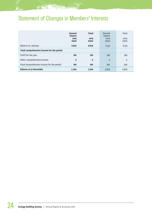# Statement of Changes in Members' Interests

溶性

|                                           | <b>General</b><br>reserve<br>2015<br>£000 | <b>Total</b><br>2015<br><b>£000</b> | General<br>reserve<br>2014<br>£000 | Total<br>2014<br>£000 |
|-------------------------------------------|-------------------------------------------|-------------------------------------|------------------------------------|-----------------------|
| Balance at 1 January                      | 6,879                                     | 6,879                               | 6,313                              | 6,313                 |
| Total comprehensive income for the period |                                           |                                     |                                    |                       |
| Profit for the year                       | 881                                       | 881                                 | 566                                | 566                   |
| Other comprehensive income                | $\mathbf{o}$                              | $\mathbf{o}$                        | $\circ$                            | $\circ$               |
| Total comprehensive income for the period | 881                                       | 881                                 | 566                                | 566                   |
| <b>Balance at 31 December</b>             | 7,760                                     | 7,760                               | 6,879                              | 6,879                 |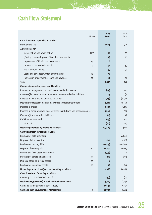# Cash Flow Statement

|                                                                           |              | 2015      | 2014               |
|---------------------------------------------------------------------------|--------------|-----------|--------------------|
|                                                                           | <b>Notes</b> | £000      | £000               |
| Cash flows from operating activities<br>Profit before tax                 |              |           |                    |
| Adjustments for                                                           |              | 1,074     | 735                |
| Depreciation and amortisation                                             |              | 81        |                    |
| (Profit)/ Loss on disposal of tangible fixed assets                       | 13,15        | (6)       | 77                 |
| Impairment of fixed asset investment                                      |              | 6         | 37<br>$\mathbf{1}$ |
|                                                                           | 14           |           |                    |
| Interest on subscribed capital<br>Provision for liabilities               | 3            | 57        | 57                 |
|                                                                           |              | 35        | 50                 |
| Loans and advances written off in the year                                | 12           | 78        |                    |
| Increase in impairment of loans and advances                              | 12           | 100       | (11)               |
| <b>Total</b>                                                              |              | 1,425     | 946                |
| Changes in operating assets and liabilities                               |              |           |                    |
| Increase in prepayments, accrued income and other assets                  |              | (49)      | (17)               |
| Increase/(decrease) in accruals, deferred income and other liabilities    |              | 54        | (8)                |
| Increase in loans and advances to customers                               |              | (22, 365) | (8,230)            |
| Decrease/(increase) in loans and advances to credit institutions          |              | 4,010     | (1,459)            |
| Increase in shares                                                        |              | 5,907     | 11,994             |
| Increase in amounts owed to other credit institutions and other customers |              | 1,200     | 586                |
| (Decrease)/increase other liabilities                                     |              | (4)       | 38                 |
| FSCS interest cost paid                                                   |              | (43)      | (44)               |
| Taxation paid                                                             |              | (161)     | (115)              |
| Net cash generated by operating activities                                |              | (10, 026) | 3,691              |
| Cash flows from investing activities                                      |              |           |                    |
| Purchase of debt securities                                               |              |           | (4,002)            |
| Disposal of debt securities                                               |              | 3,515     | 4,508              |
| Purchase of treasury bills                                                |              | (15, 515) | (46, 600)          |
| Disposal of treasury bills                                                | 10           | 28,250    | 40,863             |
| Purchase of fixed asset investments                                       |              | (979)     |                    |
| Purchase of tangible fixed assets                                         | 13           | (83)      | (102)              |
| Disposal of tangible fixed assets                                         | 13           | 6         |                    |
| Purchase of intangible assets<br>15                                       |              | (6)       | (35)               |
| Net cash generated by/(used in) investing activities                      |              | 15,188    | (5,368)            |
| Cash flows from financing activities                                      |              |           |                    |
| Interest paid on subscribed capital                                       |              | (57)      | (55)               |
| Net increase/(decrease) in cash and cash equivalents                      |              | 5,105     | (1,732)            |
| Cash and cash equivalents at 01 January                                   |              | 17,642    | 19,374             |
| Cash and cash equivalents at 31 December                                  | 8            | 22,747    | 17,642             |

 $\mathbb{R} \longrightarrow \mathbb{R}$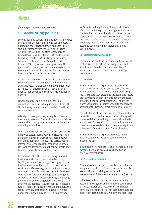# **Notes**

*(forming part of the annual accounts)*

### **1. Accounting policies**

Ecology Building Society (the "Society") has prepared these annual accounts on a going concern basis as outlined in the Director's Report on pages 10 to 13 and in accordance with the Building Societies Act 1986, the Building Societies (Accounts and Related Provisions) Regulations 1998 and Financial Reporting Standard 102, *The Financial Reporting Standard,* applicable in the UK and Republic of Ireland *("FRS 102")* as issued in August 2014. The presentation currency of these annual accounts is sterling. All amounts in the annual accounts have been rounded to the nearest £1,000.

In the transition to FRS 102 from old UK GAAP, the Society has made measurement and recognition adjustments. An explanation of how the transition to FRS 102 has affected financial position and financial performance of the Society is provided in note 28.

FRS 102 grants certain first-time adoption exemptions from the full requirements of FRS 102. The following exemption has been taken in these annual accounts:

■ Designation of previously recognised financial  $instruments - certain financial assets and liabilities$ were at the 1 January 2015 designated at fair value through profit or loss.

The accounting policies set out below have, unless otherwise stated, been applied consistently to all periods presented in these annual accounts. On first time adoption of FRS 102, the Society has not retrospectively changed its accounting under old UK GAAP for derecognition of financial assets and liabilities before the date of transition.

In common with other deposit-taking financial institutions, the Society meets its day-to-day liquidity requirements through managing its retail funding sources, and is required to maintain a sufficient buffer over regulatory capital in order to continue to be authorised to carry on its business. The Society's forecasts and objectives, taking into account a number of potential changes in trading performance and funding retention, show that the Society has adequate resources for the foreseeable future. There is the possibility that during 2016, the regulatory view of the risk weighting for homes under construction may be revised from 35% to

100% which will significantly increase the levels of capital the Society must hold against its assets. The Board is confident that should this occur the Society is able to put in place measures to change the structure of its assets and continue to meet regulatory requirements. For these reasons, the accounts continue to be prepared on a going concern basis.

#### **1.1 Measurement convention**

The annual accounts are prepared on the historical cost basis except that the following assets and liabilities are stated at their fair value: Fixed Asset Investments measured in accordance with open market value.

#### **1.2 Interest**

Interest income and expense are recognised in profit or loss using the amortised cost effective interest method. The 'effective interest rate' (EIR) is the rate that exactly discounts the estimated future cash payments and receipts through the expected life of the financial asset or financial liability (or, where appropriate, a shorter period) to the carrying amount of the financial asset or financial liability.

The calculation of the effective interest rate includes transaction costs and fees and commissions paid or received that are an integral part of the effective interest rate. Transaction costs include incremental costs that are directly attributable to the acquisition or issue of a financial asset or financial liability.

Interest income and expense presented in the income statement and other comprehensive income include:

 $\blacksquare$  interest on financial assets and financial liabilities measured at amortised cost calculated on an effective interest basis.

#### **1.3 Fees and commission**

Fees and commission income and expense that are integral to the effective interest rate on a financial asset or financial liability are included in the measurement of the effective interest rate (see 1.2).

Other fees and commission income – including account servicing fees and introducers commission on house insurance is recognised as the related services are performed. If a loan commitment is not expected to result in the draw-down of a loan, then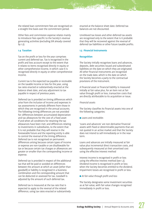the related loan commitment fees are recognised on a straight-line basis over the commitment period.

Other fees and commission expense relates mainly to introducer fees specific to the Society's revenue generating activities (excluding EIR already covered by 1.2).

#### **1.4 Taxation**

Tax on the profit or loss for the year comprises current and deferred tax. Tax is recognised in the profit and loss account except to the extent that it relates to items recognised directly in equity or other comprehensive income, in which case it is recognised directly in equity or other comprehensive income.

Current tax is the expected tax payable or receivable on the taxable income or loss for the year, using tax rates enacted or substantively enacted at the balance sheet date, and any adjustment to tax payable in respect of previous years.

Deferred tax is provided on timing differences which arise from the inclusion of income and expenses in tax assessments in periods different from those in which they are recognised in the annual accounts. The following timing differences are not provided for: differences between accumulated depreciation and tax allowances for the cost of a fixed asset if and when all conditions for retaining the tax allowances have been met; and differences relating to investments in subsidiaries, to the extent that it is not probable that they will reverse in the foreseeable future and the reporting entity is able to control the reversal of the timing difference. Deferred tax is not recognised on permanent differences arising because certain types of income or expense are non-taxable or are disallowable for tax or because certain tax charges or allowances are greater or smaller than the corresponding income or expense.

Deferred tax is provided in respect of the additional tax that will be paid or avoided on differences between the amount at which an asset (other than goodwill) or liability is recognised in a business combination and the corresponding amount that can be deducted or assessed for tax. Goodwill is adjusted by the amount of such deferred tax.

Deferred tax is measured at the tax rate that is expected to apply to the reversal of the related difference, using tax rates enacted or substantively enacted at the balance sheet date. Deferred tax balances are not discounted.

Unrelieved tax losses and other deferred tax assets are recognised only to the extent that is it probable that they will be recovered against the reversal of deferred tax liabilities or other future taxable profits.

#### **1.5 Financial instruments**

#### **Recognition**

The Society initially recognises loans and advances, deposits, debt securities issued and subordinated liabilities on the date on which they are originated. All other financial instruments are recognised on the trade date, which is the date on which the Society becomes a party to the contractual provisions of the instrument.

A financial asset or financial liability is measured initially at fair value plus, for an item not at fair value through profit or loss, transaction costs that are directly attributable to its acquisition or issue.

#### *Financial assets*

The Society classifies its financial assets into one of the following categories:

■ *Loans and receivables*

'Loans and advances' are non-derivative financial assets with fixed or determinable payments that are not quoted in an active market and that the Society does not intend to sell immediately or in the near term.

Loans and advances are initially measured at fair value plus incremental direct transaction costs, and subsequently measured at their amortised cost using the effective interest method

Interest income is recognised in profit or loss using the effective interest method (see 1.2). Dividend income is recognised in profit or loss when the Society becomes entitled to the dividend. Impairment losses are recognised in profit or loss.

■ At fair value through profit and loss

The Society designates some investment securities as at fair value, with fair value changes recognised immediately in profit or loss.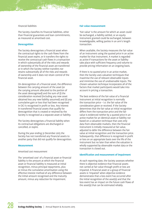#### *Financial liabilities*

The Society classifies its financial liabilities, other than financial guarantees and loan commitments, as measured at amortised cost.

#### **Derecognition**

The Society derecognises a financial asset when the contractual rights to the cash flows from the financial asset expire, or it transfers the rights to receive the contractual cash flows in a transaction in which substantially all of the risks and rewards of ownership of the financial asset are transferred or in which the Society neither transfers nor retains substantially all of the risks and rewards of ownership and it does not retain control of the financial asset.

On derecognition of a financial asset, the difference between the carrying amount of the asset (or the carrying amount allocated to the portion of the asset derecognised) and the sum of (i) the consideration received (including any new asset obtained less any new liability assumed) and (ii) any cumulative gain or loss that had been recognised in OCI is recognised in profit or loss. Any interest in transferred financial assets that qualify for derecognition that is created or retained by the Society is recognised as a separate asset or liability.

The Society derecognises a financial liability when its contractual obligations are discharged or cancelled, or expire.

During the year ending 31 December 2015 the Society has not transferred any financial assets to another party that did not qualify for derecognition.

#### **Measurement**

#### *Amortised cost measurement*

The 'amortised cost' of a financial asset or financial liability is the amount at which the financial asset or financial liability is measured at initial recognition, minus principal repayments, plus or minus the cumulative amortisation using the effective interest method of any difference between the initial amount recognised and the maturity amount, minus any reduction for impairment.

#### **Fair value measurement**

'Fair value' is the amount for which an asset could be exchanged, a liability settled, or an equity instrument granted could be exchanged, between knowledgeable, willing parties in an arm's length transaction.

When available, the Society measures the fair value of an instrument using the quoted price in an active market for that instrument. A market is regarded as active if transactions for the asset or liability take place with sufficient frequency and volume to provide pricing information on an ongoing basis.

If there is no quoted price in an active market, then the Society uses valuation techniques that maximise the use of relevant observable inputs and minimise the use of unobservable inputs. The chosen valuation technique incorporates all of the factors that market participants would take into account in pricing a transaction.

The best evidence of the fair value of a financial instrument at initial recognition is normally the transaction price – i.e. the fair value of the consideration given or received. If the Society determines that the fair value at initial recognition differs from the transaction price and the fair value is evidenced neither by a quoted price in an active market for an identical asset or liability nor based on a valuation technique that uses only data from observable markets, then the financial instrument is initially measured at fair value, adjusted to defer the difference between the fair value at initial recognition and the transaction price. Subsequently, that difference is recognised in profit or loss on an appropriate basis over the life of the instrument but no later than when the valuation is wholly supported by observable market data or the transaction is closed out.

#### **Identification and measurement of impairment**

At each reporting date, the Society assesses whether there is objective evidence that financial assets not carried at fair value through profit or loss are impaired. A financial asset or a group of financial assets is 'impaired' when objective evidence demonstrates that a loss event has occurred after the initial recognition of the asset(s) and that the loss event has an impact on the future cash flows of the asset(s) that can be estimated reliably.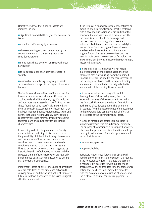Objective evidence that financial assets are impaired includes:

 $\blacksquare$  significant financial difficulty of the borrower or issuer

■ default or delinquency by a borrower

■ the restructuring of a loan or advance by the Society on terms that the Society would not consider otherwise

■ indications that a borrower or issuer will enter bankruptcy

■ the disappearance of an active market for a security

■ observable data relating to a group of assets such as adverse changes in the payment status of borrowers.

The Society considers evidence of impairment for loans and advances at both a specific asset and a collective level. All individually significant loans and advances are assessed for specific impairment. Those found not to be specifically impaired are then collectively assessed for any impairment that has been incurred but not yet identified. Loans and advances that are not individually significant are collectively assessed for impairment by grouping together loans and advances with similar risk characteristics.

In assessing collective impairment, the Society uses statistical modelling of historical trends of the probability of default, the timing of recoveries and the amount of loss incurred, and makes an adjustment if current economic and credit conditions are such that the actual losses are likely to be greater or lesser than is suggested by historical trends. Default rates, loss rates and the expected timing of future recoveries are regularly benchmarked against actual outcomes to ensure that they remain appropriate.

Impairment losses on assets measured at amortised cost are calculated as the difference between the carrying amount and the present value of estimated future cash flows discounted at the asset's original effective interest rate.

If the terms of a financial asset are renegotiated or modified or an existing financial asset is replaced with a new one due to financial difficulties of the borrower, then an assessment is made of whether the financial asset should be derecognised. If the cash flows of the renegotiated asset are substantially different, then the contractual rights to cash flows from the original financial asset are deemed to have expired. In this case, the original financial asset is derecognised and the new financial asset is recognised at fair value. The impairment loss before an expected restructuring is measured as follows.

■ If the expected restructuring will not result in derecognition of the existing asset, then the estimated cash flows arising from the modified financial asset are included in the measurement of the existing asset based on their expected timing and amounts discounted at the original effective interest rate of the existing financial asset.

■ If the expected restructuring will result in derecognition of the existing asset, then the expected fair value of the new asset is treated as the final cash flow from the existing financial asset at the time of its derecognition. This amount is discounted from the expected date of derecognition to the reporting date using the original effective interest rate of the existing financial asset.

A range of forbearance options are available to support customers who are in financial difficulty. The purpose of forbearance is to support borrowers who have temporary financial difficulties and help them get back on track. The main options offered by the Society include:

- Interest only payments
- Payment holiday

Borrowers requesting a forbearance option will need to provide information to support the request. If the forbearance request is granted the account is monitored in accordance with our policy and procedures. At the appropriate time the forbearance option that has been implemented is cancelled, with the exception of capitalisation of arrears, and the customer's normal contractual payment is restored.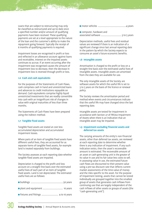Loans that are subject to restructuring may only be classified as restructured and up-to-date once a specified number and/or amount of qualifying payments have been received. These qualifying payments are set at a level appropriate to the nature of the loan and the customer's ability to make the repayment going forward. Typically the receipt of 6 months of qualifying payments is required.

Impairment losses are recognised in profit or loss and reflected in an allowance account against loans and receivables. Interest on the impaired assets continues to accrue. If an event occurring after the impairment was recognised causes the amount of impairment loss to decrease, then the decrease in impairment loss is reversed through profit or loss.

#### **1.6 Cash and cash equivalents**

For the purposes of the Statements of Cash Flows, cash comprises cash in hand and unrestricted loans and advances to credit institutions repayable on demand. Cash equivalents comprise highly liquid unrestricted investments that are readily convertible into cash with an insignificant risk of changes in value with original maturities of less than three months.

The Statements of Cash Flows have been prepared using the indirect method.

#### **1.7 Tangible fixed assets**

Tangible fixed assets are stated at cost less accumulated depreciation and accumulated impairment losses.

Where parts of an item of tangible fixed assets have different useful lives, they are accounted for as separate items of tangible fixed assets, for example land is treated separately from buildings.

The Society assesses at each reporting date whether tangible fixed assets are impaired.

Depreciation is charged to the profit and loss account on a straight-line basis over the estimated useful lives of each part of an item of tangible fixed assets. Land is not depreciated. The estimated useful lives are as follows:

- plant and equipment ................................... 10 years
- fi xtures and fi ttings ............................. 4 to 10 years

|--|--|--|--|--|--|

■ computer, hardware and associated software .................................... 3 to 5 years

Depreciation methods, useful lives and residual values are reviewed if there is an indication of a significant change since last annual reporting date in the pattern by which the Society expects to consume an asset's future economic benefits.

#### **1.8 Intangible assets**

Amortisation is charged to the profit or loss on a straight-line basis over the estimated useful lives of intangible assets. Intangible assets are amortised from the date they are available for use.

The only intangible assets of the Society are software assets for which the useful life is set to 3 to 5 years on the basis of the licence or renewal policy.

The Society reviews the amortisation period and method when events and circumstances indicate that the useful life may have changed since the last reporting date.

Intangible assets are tested for impairment in accordance with Section 27 of FRS102 Impairment of Assets when there is an indication that an intangible asset may be impaired.

#### **1.9 Impairment excluding financial assets and deferred tax assets**

The carrying amounts of the entity's non-financial assets, other than deferred tax assets, are reviewed at each reporting date to determine whether there is any indication of impairment. If any such indication exists, then the asset's recoverable amount is estimated. The recoverable amount of an asset or cash-generating unit is the greater of its value in use and its fair value less costs to sell. In assessing value in use, the estimated future cash flows are discounted to their present value using a pre-tax discount rate that reflects current market assessments of the time value of money and the risks specific to the asset. For the purpose of impairment testing, assets that cannot be tested individually are grouped together into the smallest group of assets that generates cash inflows from continuing use that are largely independent of the cash inflows of other assets or groups of assets (the "cash-generating unit").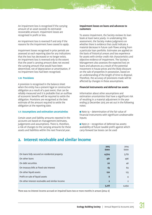An impairment loss is recognised if the carrying amount of an asset exceeds its estimated recoverable amount. Impairment losses are recognised in profit or loss.

An impairment loss is reversed if and only if the reasons for the impairment have ceased to apply.

Impairment losses recognised in prior periods are assessed at each reporting date for any indications that the loss has decreased or no longer exists. An impairment loss is reversed only to the extent that the asset's carrying amount does not exceed the carrying amount that would have been determined, net of depreciation or amortisation, if no impairment loss had been recognised.

#### **1.10 Provisions**

A provision is recognised in the balance sheet when the entity has a present legal or constructive obligation as a result of a past event, that can be reliably measured and it is probable that an outflow of economic benefits will be required to settle the obligation. Provisions are recognised at the best estimate of the amount required to settle the obligation at the reporting date.

#### **1.11 Assumptions and estimation uncertainties**

Certain asset and liability amounts reported in the accounts are based on management estimates, judgements and assumptions. There is, therefore, a risk of changes to the carrying amounts for these assets and liabilities within the next financial year.

#### **Impairment losses on loans and advances to customers**

To assess impairment, the Society reviews its loan book at least twice yearly. In undertaking this assessment, the Society makes judgments on whether there is evidence that could indicate a material decrease in future cash flows arising from a particular loan portfolio. Estimates are applied on the basis of historical arrears and loss experience for assets with similar credit risk characteristics and objective evidence of impairment. The Society's Management also assesses the expected loss on loans and advances as a result of the potential movement in house prices and the likely discount on the sale of properties in possession, based on an understanding of the length of time to disposal. Therefore, the accuracy of provisions made will be affected by changes in these assumptions.

#### **Financial instruments and deferred tax assets**

Information about other assumptions and estimation uncertainties that have a significant risk of resulting in a material adjustment in the year ending 31 December 2015 are set out in the following notes:

■ Note 14 – determination of the fair value of financial instruments with significant unobservable inputs;

■ Note 21 – recognition of deferred tax assets: availability of future taxable profit against which carry-forward tax losses can be used

### **2. Interest receivable and similar income**

|                                                 | 2015<br>£000   | 2014<br>£000   |
|-------------------------------------------------|----------------|----------------|
| On loans fully secured on residential property  | 4,524          | 3,719          |
| On other loans                                  | 481            | 496            |
| On debt securities                              | 20             | 46             |
| On treasury bills at fixed rate interest        | 63             | 64             |
| On other liquid assets                          | 120            | 123            |
| Profit on sale of liquid assets                 | 8              | $\overline{4}$ |
| On other interest receivable and similar income | $\overline{2}$ | $\overline{2}$ |
|                                                 | 5,218          | 4,454          |

There was no interest income accrued on impaired loans two or more months in arrears (2014: 0)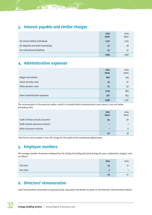### **3. Interest payable and similar charges**

|                                  | 2015<br>£000 | 2014<br>£000 |
|----------------------------------|--------------|--------------|
| On shares held by individuals    | 1,721        | 1,723        |
| On deposits and other borrowings | 77           | 78           |
| On subordinated liabilities      | 57           | 57           |
|                                  | 1,855        | 1,858        |

### **4. Administrative expenses**

 $\hat{d}^{\ast}$ 

|                               | 2015<br>£000 | 2014<br>£000 |
|-------------------------------|--------------|--------------|
| Wages and salaries            | 860          | 743          |
| Social security costs         | 92           | 81           |
| Other pension costs           | 67           | 59           |
|                               | 1,019        | 883          |
| Other administrative expenses | 977          | 853          |
|                               | 1,996        | 1,736        |

The remuneration of the external auditor, which is included within administrative costs above, is set out below (excluding VAT):

|                                  | 2015<br><b>£000</b> | 2014<br>£000 |
|----------------------------------|---------------------|--------------|
| Audit of these annual accounts*  | 54                  | 26           |
| Audit-related assurance services |                     |              |
| Other assurance services         |                     | b            |
|                                  | 54                  |              |

\*The fee for 2015 includes a 'one-off' charge for the audit of the transitional adjustments.

# **5. Employee numbers**

The average number of persons employed by the Society (including directors) during the year, analysed by category, was as follows:

|           | 2015           | 2014 |
|-----------|----------------|------|
| Full time | 23             | 21   |
| Part time | 2 <sup>1</sup> |      |
|           | 25             | 22   |

### **6. Directors' remuneration**

Total remuneration amounted to £245,000 (2014: £234,000). Full details are given in the Directors' Remuneration Report.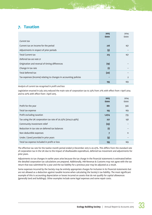# **7. Taxation**

|                                                                  | 2015<br>£000 | 2014<br>£000   |
|------------------------------------------------------------------|--------------|----------------|
| Current tax                                                      |              |                |
| Current tax on income for the period                             | 218          | 167            |
| Adjustments in respect of prior periods                          | (5)          |                |
| <b>Total Current tax</b>                                         | 213          | 167            |
| Deferred tax see note 21                                         |              |                |
| Origination and reversal of timing differences                   | (19)         |                |
| Change in tax rate                                               | (1)          |                |
| Total deferred tax                                               | (20)         |                |
| Tax expenses (income) relating to changes in accounting policies |              | $\overline{2}$ |
|                                                                  | 193          | 169            |

Analysis of current tax recognised in profit and loss

Legislation enacted in July 2013 reduced the main rate of corporation tax to 23% from 21% with effect from 1 April 2014 and to 20% with effect from 1 April 2015.

|                                                               | 2015<br>£000 | 2014<br>£000 |
|---------------------------------------------------------------|--------------|--------------|
| Profit for the year                                           | 881          | 566          |
| Total tax expense                                             | 193          | 169          |
| Profit excluding taxation                                     | 1,074        | 735          |
| Tax using the UK corporation tax rate of 20.25% (2014:21.49%) | 217          | 158          |
| Community Investment relief                                   | (25)         |              |
| Reduction in tax rate on deferred tax balances                | (1)          |              |
| Non-deductible expenses                                       | 7            | 11           |
| Under / (over) provided in prior years                        | (5)          |              |
| Total tax expense included in profit or loss                  | 193          | 169          |

The effective tax rate for the twelve month period ended 31 December 2015 is 20.25%. This differs from the standard rate of corporation tax in the UK due to the impact of disallowable expenditure, deferred tax movement and adjustments for prior years.

Adjustments to tax changes in earlier years arise because the tax charge in the financial statements is estimated before the detailed corporation tax calculations are prepared. Additionally, HM Revenue & Customs may not agree with the tax return that was submitted for a year and the tax liability for a previous year may be adjusted as a result.

Some expenses incurred by the Society may be entirely appropriate charges for inclusion in its financial statements but are not allowed as a deduction against taxable income when calculating the Society's tax liability. The most significant example of this is accounting depreciation or losses incurred on assets that do not qualify for capital allowances (generally land and buildings). Other examples include some legal expenses and some repair costs.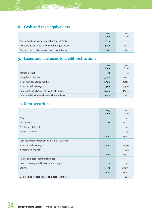# **8. Cash and cash equivalents**

 $\mathscr{A}^*$ 

|                                                        | 2015<br>£000 | 2014<br>£000 |
|--------------------------------------------------------|--------------|--------------|
| Cash in hand and balances with the Bank of England     | 12,790       |              |
| Loans and advances to credit institutions (see note 9) | 9,957        | 17,642       |
| Cash and cash equivalents per cash flow statements     | 22,747       | 17,642       |

**COMMERCIAL** 

# **9. Loans and advances to credit institutions**

|                                                 | 2015<br><b>£000</b> | 2014<br>£000 |
|-------------------------------------------------|---------------------|--------------|
| Accrued Interest                                | 18                  | 33           |
| Repayable on demand                             | 7,442               | 10,623       |
| In not more than three months                   | 2,500               | 7,000        |
| In not more than one year                       | 1,500               | 5,500        |
| Total loans and advances to credit institutions | 11,460              | 23,156       |
| Total included within cash and cash equivalents | 9,957               | 17,642       |

# **10. Debt securities**

|                                                       | 2015<br>£000 | 2014<br>£000 |
|-------------------------------------------------------|--------------|--------------|
| Gilts                                                 |              | 1,012        |
| Treasury bills                                        | 5,492        | 18,228       |
| Certificates of deposit                               |              | 2,002        |
| Floating rate notes                                   |              | 501          |
|                                                       | 5,492        | 21,743       |
| Debt securities have remaining maturities as follows: |              |              |
| In not more than one year                             | 5,492        | 20,230       |
| In more than one year                                 |              | 1,513        |
|                                                       | 5,492        | 21,743       |
| Transferable debt securities comprise:                |              |              |
| Listed on a recognised investment exchange            |              | 1,513        |
| Unlisted                                              | 5,492        | 20,230       |
|                                                       | 5,492        | 21,743       |
| Market value of listed transferable debt securities   |              | 1,518        |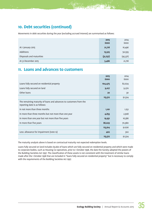# **10. Debt securities (continued)**

Movements in debt securities during the year (excluding accrued interest) are summarised as follows:

|                          | 2015     | 2014      |
|--------------------------|----------|-----------|
|                          | £000     | £000      |
| At 1 January 2015        | 21,718   | 16,496    |
| Additions                | 15,525   | 50,593    |
| Disposals and maturities | (31,757) | (45, 371) |
| At 31 December 2015      | 5,486    | 21,718    |

### **11. Loans and advances to customers**

|                                                                                                     | 2015<br><b>£000</b> | 2014<br>£000 |
|-----------------------------------------------------------------------------------------------------|---------------------|--------------|
| Loans fully secured on residential property                                                         | 104,475             | 82,024       |
| Loans fully secured on land                                                                         | 9,017               | 9,270        |
| Other loans                                                                                         | 20                  | 30           |
|                                                                                                     | 113,512             | 91,324       |
| The remaining maturity of loans and advances to customers from the<br>reporting date is as follows: |                     |              |
| In not more than three months                                                                       | 1,101               | 1,152        |
| In more than three months but not more than one year                                                | 4,853               | 2,908        |
| In more than one year but not more than five years                                                  | 19,931              | 16,586       |
| In more than five years                                                                             | 88,029              | 70,980       |
|                                                                                                     | 113,914             | 91,626       |
| Less: allowance for impairment (note 12)                                                            | 402                 | 302          |
|                                                                                                     | 113,512             | 91,324       |

The maturity analysis above is based on contractual maturity not expected redemption levels.

Loans fully secured on land includes £9,660 of loans which are fully secured on residential property and which were made to corporate bodies, such as Housing Co-operatives, prior to 1 October 1998, the date the Society adopted the powers of the Building Societies Act 1997. The classification of these assets is not consistent with the treatment of similar loans made after the 1 October 1998 that are included in "loans fully secured on residential property" but is necessary to comply with the requirements of the Building Societies Act 1997.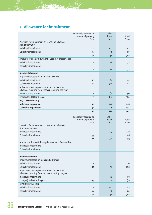# **12. Allowance for impairment**

戀婦

À

|                                                                                                     | Loans fully secured on<br>residential property | Other<br>loans | Total         |
|-----------------------------------------------------------------------------------------------------|------------------------------------------------|----------------|---------------|
|                                                                                                     | £000                                           | £000           | £000          |
| Provision for impairment on loans and advances<br>At 1 January 2015                                 |                                                |                |               |
| Individual impairment                                                                               |                                                | 242            | 242           |
| Collective impairment                                                                               | 44                                             | 16             | 60            |
|                                                                                                     | 44                                             | 258            | 302           |
| Amounts written off during the year, net of recoveries                                              |                                                |                |               |
| Individual impairment                                                                               | 10                                             | 68             | 78            |
| Collective impairment                                                                               |                                                |                |               |
|                                                                                                     | 10                                             | 68             | 78            |
| Income statement                                                                                    |                                                |                |               |
| Impairment losses on loans and advances                                                             |                                                |                |               |
| Individual impairment                                                                               | 65                                             | (3)            | 62            |
| Collective impairment                                                                               | 54                                             | (10)           | 44            |
| Adjustments to impairment losses on loans and<br>advances resulting from recoveries during the year |                                                |                |               |
| Individual impairment                                                                               |                                                | (6)            | (6)           |
| Charge/(credit) for the year                                                                        | 119                                            | (19)           | 100           |
| At 31 December 2015                                                                                 |                                                |                |               |
| <b>Individual impairment</b>                                                                        | 65                                             | 233            | 298           |
| <b>Collective impairment</b>                                                                        | 98                                             | 6              | 104           |
|                                                                                                     | 163                                            | 239            | 402           |
|                                                                                                     |                                                |                |               |
|                                                                                                     |                                                |                |               |
|                                                                                                     | Loans fully secured on                         | Other          |               |
|                                                                                                     | residential property<br>£000                   | loans<br>£000  | Total<br>£000 |
| Provision for impairment on loans and advances                                                      |                                                |                |               |
| At 01 January 2014                                                                                  |                                                |                |               |
| Individual impairment                                                                               |                                                | 227            | 227           |
| Collective impairment                                                                               | 59                                             | 27             | 86            |
|                                                                                                     | 59                                             | 254            | 313           |
| Amounts written off during the year, net of recoveries                                              |                                                |                |               |
| Individual impairment                                                                               |                                                |                |               |
| Collective impairment                                                                               |                                                |                |               |
|                                                                                                     |                                                |                |               |
| <b>Income statement</b>                                                                             |                                                |                |               |
| Impairment losses on loans and advances                                                             |                                                |                |               |
| Individual impairment                                                                               |                                                | 20             | 20            |
| Collective impairment                                                                               | (15)                                           | (11)           | (26)          |
| Adjustments to impairment losses on loans and<br>advances resulting from recoveries during the year |                                                |                |               |
| Individual impairment                                                                               |                                                | (5)            | (5)           |
| Charge/(credit) for the year                                                                        | (15)                                           | $\overline{4}$ | (11)          |
| At 31 December 2014                                                                                 |                                                |                |               |
| Individual impairment                                                                               |                                                | 242            | 242           |
| Collective impairment                                                                               | 44                                             | 16             | 60            |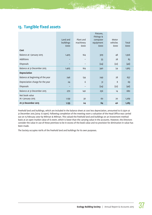### **13. Tangible fixed assets**

|                                  |           |           | Fixtures,<br>Fittings & |          |       |
|----------------------------------|-----------|-----------|-------------------------|----------|-------|
|                                  | Land and  | Plant and | computer                | Motor    |       |
|                                  | buildings | machinery | equipment               | vehicles | Total |
|                                  | £000      | £000      | £000                    | £000     | £000  |
| Cost                             |           |           |                         |          |       |
| Balance at 1 January 2015        | 1,405     | 164       | 309                     | 48       | 1,926 |
| Additions                        |           |           | 55                      | 28       | 83    |
| <b>Disposals</b>                 |           |           | (24)                    | (22)     | (46)  |
| Balance at 31 December 2015      | 1,405     | 164       | 340                     | 54       | 1,963 |
| <b>Depreciation</b>              |           |           |                         |          |       |
| Balance at beginning of the year | 246       | 134       | 249                     | 28       | 657   |
| Depreciation charge for the year | 24        | 6         | 31                      | 8        | 69    |
| <b>Disposals</b>                 | -         | -         | (24)                    | (22)     | (46)  |
| Balance at 31 December 2015      | 270       | 140       | 256                     | 14       | 680   |
| Net book value                   |           |           |                         |          |       |
| At 1 January 2015                | 1,159     | 30        | 60                      | 20       | 1,269 |
| At 31 December 2015              | 1,135     | 24        | 84                      | 40       | 1,283 |

Freehold land and buildings, which are included in the balance sheet at cost less depreciation, amounted to £1.135m at 31 December 2015 (2014: £1.159m). Following completion of the meeting room a valuation of the Head Office was carried out on 15 February 2007 by Wilman & Wilman. This valued the freehold land and buildings on an investment method basis at an open market value of £1.100m, which is lower than the carrying value in the accounts. However, the Directors consider the value in use of these premises to be in excess of the book value and no provision for diminution in value has been made.

The Society occupies 100% of the freehold land and buildings for its own purposes.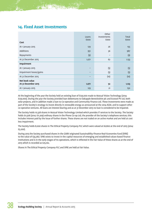### **14. Fixed Asset Investments**

|                                       | Loans | Other<br><b>Investments</b> | Total |
|---------------------------------------|-------|-----------------------------|-------|
| Cost                                  | £000  | £000                        | £000  |
| At 1 January 2015                     | 129   | 26                          | 155   |
| <b>Additions</b>                      | 951   | 36                          | 987   |
| Repayments                            | (9)   | -                           | (9)   |
| At 31 December 2015                   | 1,071 | 62                          | 1,133 |
| <b>Impairment</b>                     |       |                             |       |
| At 1 January 2015                     | -     | (5)                         | (5)   |
| Impairment losses/gains               | -     | (5)                         | (5)   |
| At 31 December 2015                   | -     | (10)                        | (10)  |
| Net book value<br>At 31 December 2015 | 1,071 | 52                          | 1,123 |
| At 1 January 2015                     | 129   | 21                          | 150   |

At the beginning of the year the Society held an existing loan of £129,000 made to Mutual Vision Technology (2014: £129,000). During the year the Society provided loan debentures to Oakapple Berwickshire plc and Ecossol PV Ltd, both solar projects, and in addition made a loan to Co-operative and Community Finance Ltd. These investments were made as part of the Society's strategy to invest directly in renewable energy as announced at the 2014 AGM, and to support other co-operative ventures. All loans are interest bearing and as at 31 December 2015 no loan is considered to be impaired.

The Society holds 10,328 shares in Mutual Vision Technology Limited which provides IT services to the Society. The Society holds £11,508 (2014: £11,209) ordinary shares in the Phone Co-op Ltd, the provider of the Society's telephone services; this includes interest paid by the issue of further shares. These shares are not traded on an active market and are held at cost less impairment.

The Society holds 8,000 shares in The Ethical Property Company PLC which were valued at £6,800 at the end of 2015 (2014: £5,200).

During 2015 the Society purchased shares in the GABV originated Sustainability-Finance-Real-Economies Fund (SFRE) to the value of £35,082. SFRE exists to invest in the capital resources of emerging and established values-based finance institutions and is in the early stages of its operations, which is reflected in the Fair Value of these shares as at the end of 2015 which is recorded as £25,162.

Shares in The Ethical Property Company PLC and SFRE are held at Fair Value.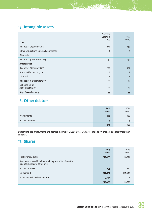# **15. Intangible assets**

| Cost                                    | Purchase<br>Software<br>£000 | Total<br>£000 |
|-----------------------------------------|------------------------------|---------------|
| Balance at 01 January 2015              | 146                          | 146           |
| Other acquisitions externally purchased | 6                            | 6             |
| Disposals                               |                              |               |
| Balance at 31 December 2015             | 152                          | 152           |
| <b>Amortisation</b>                     |                              |               |
| Balance at 01 January 2015              | 107                          | 107           |
| Amortisation for the year               | 12                           | 12            |
| Disposals                               |                              |               |
| Balance at 31 December 2015             | 119                          | 119           |
| Net book value<br>At 01 January 2015    | 39                           | 39            |
| At 31 December 2015                     | 33                           | 33            |

# **16. Other debtors**

|                | 2015<br>£000 | 2014<br>£000 |
|----------------|--------------|--------------|
| Prepayments    | 227          | 182          |
| Accrued income | 9            |              |
|                | 236          | 187          |

Debtors include prepayments and accrued income of £11,063 (2014: £11,812) for the Society that are due after more than one year.

# **17. Shares**

|                                                                                           | 2015<br><b>£000</b> | 2014<br>£000 |
|-------------------------------------------------------------------------------------------|---------------------|--------------|
| Held by individuals                                                                       | 127,433             | 121,526      |
| Shares are repayable with remaining maturities from the<br>balance sheet date as follows: |                     |              |
| <b>Accrued Interest</b>                                                                   | 635                 | 620          |
| On demand                                                                                 | 122,950             | 120,906      |
| In not more than three months                                                             | 3,848               |              |
|                                                                                           | 127,433             | 121,526      |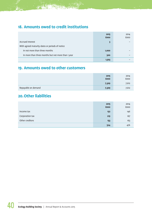# **18. Amounts owed to credit institutions**

₩

|                                                    | 2015<br>£000 | 2014<br>£000 |
|----------------------------------------------------|--------------|--------------|
| Accrued Interest                                   | 3            |              |
| With agreed maturity dates or periods of notice    |              |              |
| In not more than three months                      | 1,000        |              |
| In more than three months but not more than 1 year | 500          |              |
|                                                    | 1,503        |              |

# **19. Amounts owed to other customers**

|                     | 2015<br><b>£000</b> | 2014<br>£000 |
|---------------------|---------------------|--------------|
|                     | 7,309               | 7,612        |
| Repayable on demand | 7,309               | 7,612        |

# **20. Other liabilities**

|                 | 2015<br>£000 | 2014<br>£000 |
|-----------------|--------------|--------------|
| Income tax      | 152          | 146          |
| Corporation tax | 219          | 167          |
| Other creditors | 153          | 163          |
|                 | 524          | 476          |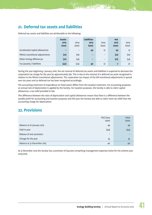# **21. Deferred tax assets and liabilities**

Deferred tax assets and liabilities are attributable to the following:

|                                 | <b>Assets</b>            |                              | <b>Liabilities</b> |                          | <b>Net</b>  |      |
|---------------------------------|--------------------------|------------------------------|--------------------|--------------------------|-------------|------|
|                                 | 2015                     | 2014                         | 2015               | 2014                     | 2015        | 2014 |
|                                 | £000                     | £000                         | <b>£000</b>        | £000                     | <b>£000</b> | £000 |
| Accelerated capital allowances  | $\overline{\phantom{a}}$ | $\qquad \qquad \blacksquare$ | 49                 | 51                       | 49          | 51   |
| FRS102 transitional adjustments | (21)                     | (10)                         | -                  | $\overline{\phantom{0}}$ | (21)        | (10) |
| Other timing differences        | (21)                     | (14)                         | -                  | $\overline{\phantom{0}}$ | (21)        | (14) |
| Tax (assets) / liabilities      | (42)                     | (24)                         | 49                 | 51                       |             | 27   |

During the year beginning 1 January 2016, the net reversal of deferred tax assets and liabilities is expected to decrease the corporation tax charge for the year by approximately £3k. This is due to the reversal of a deferred tax asset recognised in relation to the FRS102 transitional adjustments. The corporation tax impact of the EIR transitional adjustments is spread over ten years and so deferred tax has been recognised accordingly.

The accounting treatment of expenditure on fixed assets differs from the taxation treatment. For accounting purposes, an annual rate of depreciation is applied by the Society. For taxation purposes, the Society is able to claim capital allowances, a tax relief provided in law.

This difference between the rates of depreciation and capital allowances means that there is a difference between the taxable profit for accounting and taxation purposes and this year the Society was able to claim more tax relief than the accounting charge for depreciation.

### **22. Provisions**

|                             | FSCS levy<br>£000 | Total<br>£000 |
|-----------------------------|-------------------|---------------|
| Balance at 01 January 2015  | 49                | 49            |
| Paid in year                | (44)              | (44)          |
| Release of over provision   | -                 |               |
| Charge for the year         | 35                | 35            |
| Balance at 31 December 2015 | 40                | 40            |

At 31 December 2015 the Society has a provision of £40,000 comprising management expenses levies for the scheme year 2015/2016.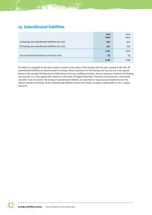# **23. Subordinated liabilities**

|                                                    | 2015<br><b>£000</b> | 2014<br>£000 |
|----------------------------------------------------|---------------------|--------------|
| a) Floating rate subordinated liabilities due 2016 | 500                 | 500          |
| b) Floating rate subordinated liabilities due 2019 | 750                 | 750          |
|                                                    | 1,250               | 1,250        |
| Less unamortised premiums and issue costs          | (2)                 | (2)          |
|                                                    | 1,248               | 1,248        |

The Notes are repayable at the dates stated or earlier at the option of the Society with the prior consent of the PRA. All subordinated liabilities are denominated in sterling. Interest payments on the floating rate loan (a) is at a rate agreed based on the average SVR (Standard Variable Rate) of the top 5 Building Societies. Interest payments made on the floating rate loan (b) is at a rate agreed with reference to the Bank of England Base Rate. Premiums and discounts, commission and other costs incurred in the raising of subordinated liabilities are amortised in equal annual instalments over the relevant period to maturity. Of the subordinated liabilities held by the Society, £0.548m is permissible as Tier 2 capital resources.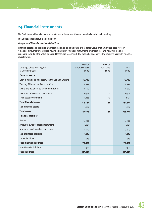# **24. Financial instruments**

The Society uses financial instruments to invest liquid asset balances and raise wholesale funding.

The Society does not run a trading book.

#### *Categories of fi nancial assets and liabilities*

Financial assets and liabilities are measured on an ongoing basis either at fair value or at amortised cost. Note 1.5 'Financial instruments' describes how the classes of financial instruments are measured, and how income and expenses, including fair value gains and losses, are recognised. The tables below analyse the Society's assets by financial classification:

| Carrying values by category<br>31 December 2015    | Held at<br>amortised cost<br>£000 | Held at<br>Fair value<br>£000 | Total<br>£000 |
|----------------------------------------------------|-----------------------------------|-------------------------------|---------------|
| <b>Financial assets</b>                            |                                   |                               |               |
| Cash in hand and Balances with the Bank of England | 12,790                            |                               | 12,790        |
| Treasury Bills and similar securities              | 5,492                             |                               | 5,492         |
| Loans and advances to credit institutions          | 11,460                            |                               | 11,460        |
| Loans and advances to customers                    | 113,512                           |                               | 113,512       |
| Fixed asset investments                            | 1,088                             | 35                            | 1,123         |
| <b>Total financial assets</b>                      | 144,342                           | 35                            | 144,377       |
| Non-financial assets                               | 1,552                             | -                             | 1,552         |
| <b>Total assets</b>                                | 145,894                           | 35                            | 145,929       |
| <b>Financial liabilities</b>                       |                                   |                               |               |
| <b>Shares</b>                                      | 127,433                           |                               | 127,433       |
| Amounts owed to credit institutions                | 1,503                             |                               | 1,503         |
| Amounts owed to other customers                    | 7,309                             |                               | 7,309         |
| Sub-ordinated liabilities                          | 1,248                             |                               | 1,248         |
| Other liabilities                                  | 524                               |                               | 524           |
| <b>Total financial liabilities</b>                 | 138,017                           |                               | 138,017       |
| Non-financial liabilities                          | 7,912                             |                               | 7,912         |
| <b>Total liabilities</b>                           | 145,929                           |                               | 145,929       |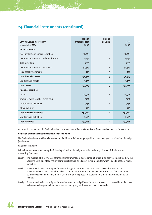| Carrying values by category<br>31 December 2014 | Held at<br>amortised cost<br>£000 | Held at<br>Fair value | Total<br>£000 |
|-------------------------------------------------|-----------------------------------|-----------------------|---------------|
| <b>Financial assets</b>                         |                                   |                       |               |
| Treasury Bills and similar securities           | 18,228                            |                       | 18,228        |
| Loans and advances to credit institutions       | 23,156                            |                       | 23,156        |
| Debt securities                                 | 3,515                             |                       | 3,515         |
| Loans and advances to customers                 | 91,324                            |                       | 91,324        |
| Fixed asset investments                         | 145                               | 5                     | 150           |
| <b>Total financial assets</b>                   | 136,368                           | 5                     | 136,373       |
| Non-financial assets                            | 1,495                             | -                     | 1,495         |
| <b>Total assets</b>                             | 137,863                           | 5                     | 137,868       |
| <b>Financial liabilities</b>                    |                                   |                       |               |
| <b>Shares</b>                                   | 121,526                           |                       | 121,526       |
| Amounts owed to other customers                 | 7,612                             |                       | 7,612         |
| Sub-ordinated liabilities                       | 1,248                             |                       | 1,248         |
| Other liabilities                               | 476                               | -                     | 476           |
| <b>Total financial liabilities</b>              | 130,862                           |                       | 130,862       |
| Non-financial liabilities                       | 7,006                             |                       | 7,006         |
| <b>Total liabilities</b>                        | 137,868                           |                       | 137,868       |

At the 31 December 2015, the Society has loan commitments of £24.3m (2014: £21.2m) measured at cost less impairment.

#### *Valuation of fi nancial instruments carried at fair value*

The Society holds certain financial assets and liabilities at fair value, grouped into Levels 1 to 3 of the fair value hierarchy (see below).

#### *Valuation techniques*

Fair values are determined using the following fair value hierarchy that reflects the significance of the inputs in measuring fair value:

- Level 1 The most reliable fair values of financial instruments are quoted market prices in an actively traded market. The Society's Level 1 portfolio mainly comprises financial fixed asset investments for which traded prices are readily available.
- Level 2 These are valuation techniques for which all significant inputs are taken from observable market data. These include valuation models used to calculate the present value of expected future cash flows and may be employed when no active market exists and quoted prices are available for similar instruments in active markets.
- Level 3 These are valuation techniques for which one or more significant input is not based on observable market data. Valuation techniques include net present value by way of discounted cash flow models.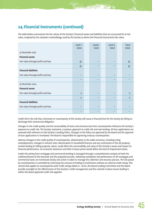The table below summarises the fair values of the Society's financial assets and liabilities that are accounted for at fair value, analysed by the valuation methodology used by the Society to derive the financial instruments fair value:

|                                    | Level 1<br>£000 | Level <sub>2</sub><br>£000 | Level 3<br>£000 | Total<br>£000 |
|------------------------------------|-----------------|----------------------------|-----------------|---------------|
| 31 December 2015                   |                 |                            |                 |               |
| <b>Financial assets</b>            |                 |                            |                 |               |
| Fair value through profit and loss | 35              |                            |                 | 35            |
|                                    | 35              |                            |                 | 35            |
| <b>Financial liabilities</b>       |                 |                            |                 |               |
| Fair value through profit and loss |                 |                            |                 |               |
|                                    |                 |                            |                 |               |
| 31 December 2014                   |                 |                            |                 |               |
| <b>Financial assets</b>            |                 |                            |                 |               |
| Fair value through profit and loss | 5               |                            |                 | 5             |
|                                    | 5               |                            |                 | 5             |
| <b>Financial liabilities</b>       |                 |                            |                 |               |
| Fair value through profit and loss |                 |                            |                 |               |
|                                    |                 |                            |                 |               |

Credit risk is the risk that a borrower or counterparty of the Society will cause a financial loss for the Society by failing to discharge their contractual obligation.

Changes in the credit quality and the recoverability of loans and amounts due from counterparties influence the Society's exposure to credit risk. The Society maintains a cautious approach to credit risk and new lending. All loan applications are assessed with reference to the Society's Lending Policy. Changes to the Policy are approved by the Board and the approval of loan applications is mandated. The Board is responsible for approving treasury counterparties.

Adverse changes in the credit quality of counterparties, deterioration in the wider economy, including rising unemployment, changes in interest rates, deterioration in household finances and any contraction in the UK property market leading to falling property values, could affect the recoverability and value of the Society's assets and impact its financial performance. An economic downturn and falls in house prices would affect the level of impairment losses.

Credit risk arising from mortgage and commercial lending is managed through a comprehensive analysis of both the creditworthiness of the borrower and the proposed security. Following completion the performance of all mortgages and commercial loans are monitored closely and action is taken to manage the collection and recovery process. The risk posed by counterparties is controlled by restricting the amount of lending to institutions without an external credit rating. This control also applies to counterparties with credit ratings below A-. ALCO, the Board Lending Committee and the Board provide oversight to the effectiveness of the Society's credit management and the controls in place ensure lending is within the Board approved credit risk appetite.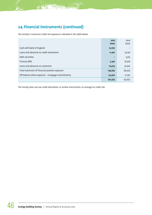Ã

The Society's maximum credit risk exposure is detailed in the table below:

|                                                   | 2015        | 2014    |
|---------------------------------------------------|-------------|---------|
|                                                   | <b>£000</b> | £000    |
| Cash with Bank of England                         | 12,790      |         |
| Loans and advances to credit institutions         | 11,461      | 23,156  |
| Debt securities                                   | -           | 3,515   |
| <b>Treasury Bills</b>                             | 5,491       | 18,228  |
| Loans and advances to customers                   | 113,913     | 91,626  |
| Total statement of financial position exposure    | 143,655     | 136,525 |
| Off balance sheet exposure - mortgage commitments | 24,320      | 21,150  |
|                                                   | 167,975     | 157,675 |

The Society does not use credit derivatives, or similar instruments, to manage its credit risk.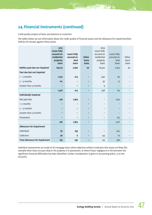*Credit quality analysis of loans and advances to customers*

The tables below set out information about the credit quality of financial assets and the allowance for impairment/loss held by the Society against those assets.

|                                       | 2015<br><b>Loans fully</b><br>secured on<br>residential<br>property<br><b>£000</b> | <b>Loans fully</b><br>secured on<br>land<br>£000 | <b>Other</b><br><b>loans</b><br><b>£000</b> | 2014<br>Loans fully<br>secured on<br>residential<br>property<br>£000 | Loans fully<br>secured on<br>land<br>£000 | Other<br>loans<br>£000 |
|---------------------------------------|------------------------------------------------------------------------------------|--------------------------------------------------|---------------------------------------------|----------------------------------------------------------------------|-------------------------------------------|------------------------|
| Neither past due nor impaired         | 103,115                                                                            | 7,656                                            | 20                                          | 81,520                                                               | 7,973                                     | 30                     |
| Past due but not impaired             |                                                                                    |                                                  |                                             |                                                                      |                                           |                        |
| $1 - 2$ months                        | 1,275                                                                              | 214                                              |                                             | 442                                                                  | 69                                        |                        |
| $2 - 3$ months                        | 101                                                                                |                                                  |                                             | 97                                                                   | 15                                        |                        |
| Greater than 3 months                 |                                                                                    |                                                  |                                             | 9                                                                    |                                           |                        |
|                                       | 1,376                                                                              | 214                                              | -                                           | 548                                                                  | 84                                        |                        |
| <b>Individually impaired</b>          |                                                                                    |                                                  |                                             |                                                                      |                                           |                        |
| Not past due                          | 148                                                                                | 1,384                                            |                                             |                                                                      | 1,314                                     |                        |
| 1-2 months                            |                                                                                    |                                                  |                                             | $\overline{\phantom{0}}$                                             |                                           |                        |
| $2 - 3$ months                        |                                                                                    |                                                  |                                             |                                                                      |                                           |                        |
| Greater than 3 months                 | -                                                                                  |                                                  |                                             |                                                                      | -                                         |                        |
| Possession                            | -                                                                                  |                                                  |                                             |                                                                      | 157                                       |                        |
|                                       | 148                                                                                | 1,384                                            | -                                           | $\qquad \qquad -$                                                    | 1,471                                     |                        |
| <b>Allowance for impairment</b>       |                                                                                    |                                                  |                                             |                                                                      |                                           |                        |
| Individual                            | 65                                                                                 | 233                                              |                                             |                                                                      | 242                                       |                        |
| Collective                            | 98                                                                                 | 6                                                |                                             | 44                                                                   | 16                                        |                        |
| <b>Total allowance for impairment</b> | 163                                                                                | 239                                              |                                             | 44                                                                   | 258                                       |                        |

Individual assessments are made of all mortgage loans where objective evidence indicates that losses are likely (for example when loans are past due) or the property is in possession, or where fraud, negligence or the borrower has significant financial difficulties has been identified. Further consideration is given in accounting policy 1.5 to the accounts.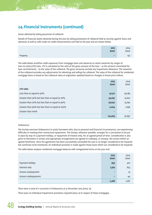#### *Assets obtained by taking possession of collateral*

Details of financial assets obtained during the year by taking possession of collateral held as security against loans and advances as well as calls made on credit enhancements and held at the year end are shown below.

|          | 2015<br>£000             | 2014<br>£000 |
|----------|--------------------------|--------------|
| Property | $\overline{\phantom{a}}$ | 157          |

The table below stratifies credit exposures from mortgage loans and advances to retail customers by ranges of loan-to-value (LTV) ratio. LTV is calculated as the ratio of the gross amount of the loan – or the amount committed for loan commitments – to the value of the collateral. The gross amounts exclude any impairment allowance. The valuation of the collateral excludes any adjustments for obtaining and selling the collateral. The value of the collateral for residential mortgage loans is based on the collateral value at origination updated based on changes in house price indices.

|                                                 | 2015        | 2014   |
|-------------------------------------------------|-------------|--------|
|                                                 | <b>£000</b> | £000   |
| <b>LTV</b> ratio                                |             |        |
| Less than or equal to 50%                       | 47,511      | 45,189 |
| Greater than 50% but less than or equal to 70%  | 34,641      | 31,622 |
| Greater than 70% but less than or equal to 90%  | 29,647      | 13,790 |
| Greater than 90% but less than or equal to 100% | 2,204       | 1,096  |
| Greater than 100%                               | -           |        |
|                                                 | 114,003     | 91,697 |

#### *Forbearance*

The Society exercises forbearance to assist borrowers who, due to personal and financial circumstances, are experiencing difficulty in meeting their contractual repayments. The Society, wherever possible, arranges for a concession to be put in place by way of a payment holiday, or repayment of interest only, for an agreed period of time. Consideration is also given to borrowers in arrears and appropriate arrangements are agreed to underpay, or overpay, the arrears within an agreed timeframe. Once the agreement has been successfully concluded the case is no longer considered to be impaired but continues to be monitored. An individual provision is made against those loans which are considered to be impaired.

The table below analyses residential mortgage balances with renegotiated terms at the year end:

|                      | 2015<br>£000             | 2014<br>£000 |
|----------------------|--------------------------|--------------|
| Payment holiday      | 959                      | 401          |
| Interest only        | 1,309                    | 823          |
| Arrears overpayment  | $\qquad \qquad -$        | 14           |
| Arrears underpayment | $\overline{\phantom{a}}$ | 44           |
|                      | 2,268                    | 1,282        |

There were a total of 11 accounts in forbearance at 31 December 2015 (2014: 13)

There were no Individual impairment provisions required (2014: 0) in respect of these mortgages.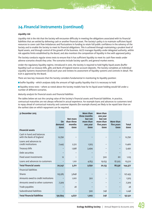#### *Liquidity risk*

Liquidity risk is the risk that the Society will encounter difficulty in meeting the obligations associated with its financial liabilities that are settled by delivering cash or another financial asset. The Society's policy is to maintain sufficient liquid resources to cover cash flow imbalances and fluctuations in funding to retain full public confidence in the solvency of the Society and to enable the Society to meet its financial obligations. This is achieved through maintaining a prudent level of liquid assets, and through control of the growth of the business. ALCO manages liquidity under delegated authority, within risk appetite limits established by the Board, and also monitors the composition of liquidity in line with approved policy.

The Society conducts regular stress tests to ensure that it has sufficient liquidity to meet its cash flow needs under adverse scenarios should they arise. The scenarios include Society specific and general market events.

Under the regulatory liquidity regime, introduced in 2010, the Society is required to hold highly liquid assets (buffer liquidity) such as treasury bills, gilts and Bank of England reserve account deposits. The Society completes an Individual Liquidity Systems Assessment (ILSA) each year and reviews its assessment of liquidity systems and controls in detail. The ILSA is approved by the Board.

There are two key measures that the Society considers fundamental in monitoring its liquidity position:

■ buffer liquidity - which analyses daily the amount of high quality liquidity that it is necessary to hold

■ liquidity stress tests – where as noted above the Society models how far its liquid asset holding would fall under a number of different scenarios.

#### *Maturity analysis for financial assets and financial liabilities*

The tables below set out the carrying value of the Society's financial assets and financial liabilities. In practice, contractual maturities are not always reflected in actual experience. For example loans and advances to customers tend to repay ahead of contractual maturity and customer deposits (for example shares) are likely to be repaid later than on the earliest date on which repayment can be required.

| 31 December 2015<br><b>Financial assets</b>           | On<br>demand<br><b>£000</b> | Not more<br>than three<br>months<br><b>£000</b> | <b>More than</b><br>three months<br>but not<br>more than<br>one year<br><b>£000</b> | More than<br>one year<br>but not<br>more than<br>five years<br>£000 | <b>More than</b><br>five years<br><b>£000</b> | <b>Total</b><br><b>£000</b> |
|-------------------------------------------------------|-----------------------------|-------------------------------------------------|-------------------------------------------------------------------------------------|---------------------------------------------------------------------|-----------------------------------------------|-----------------------------|
|                                                       |                             |                                                 |                                                                                     |                                                                     |                                               |                             |
| Cash in hand and balances<br>with the Bank of England | 12,790                      |                                                 |                                                                                     |                                                                     |                                               | 12,790                      |
| Loans and advances to                                 |                             |                                                 |                                                                                     |                                                                     |                                               |                             |
| credit institutions                                   | 7,445                       | 2,512                                           | 1,503                                                                               |                                                                     |                                               | 11,460                      |
| Treasury bills                                        |                             | 1,998                                           | 3,494                                                                               |                                                                     |                                               | 5,492                       |
| Debt securities                                       | -                           |                                                 |                                                                                     |                                                                     |                                               |                             |
| Fixed asset investments                               | 12                          |                                                 |                                                                                     | 500                                                                 | 611                                           | 1,123                       |
| Loans and advances to customers                       |                             | 1,101                                           | 4,853                                                                               | 19,633                                                              | 87,925                                        | 113,512                     |
| <b>Total financial assets</b>                         | 20,247                      | 5,611                                           | 9,850                                                                               | 20,133                                                              | 88,536                                        | 144,377                     |
| <b>Financial liabilities</b>                          |                             |                                                 |                                                                                     |                                                                     |                                               |                             |
| <b>Shares</b>                                         | 123,585                     | 3,848                                           |                                                                                     |                                                                     |                                               | 127,433                     |
| Amounts owed to credit institutions                   |                             | 1,001                                           | 502                                                                                 |                                                                     |                                               | 1,503                       |
| Amounts owed to other customers                       | 7,309                       |                                                 |                                                                                     |                                                                     |                                               | 7,309                       |
| Trade payables                                        |                             | 28                                              |                                                                                     |                                                                     |                                               | 28                          |
| Subordinated liabilities                              |                             | $\qquad \qquad -$                               | 500                                                                                 | 748                                                                 | $\qquad \qquad -$                             | 1,248                       |
| <b>Total financial liabilities</b>                    | 130,894                     | 4,877                                           | 1,002                                                                               | 748                                                                 |                                               | 137,521                     |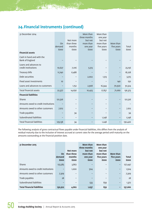Ã

| 31 December 2014                                    | On<br>demand<br>£000 | Not more<br>than three<br>months<br>£000 | More than<br>three months<br>but not<br>more than<br>one year<br>£000 | More than<br>one year<br>but not<br>more than<br>five years<br>£000 | More than<br>five years<br>£000 | Total<br>£000 |
|-----------------------------------------------------|----------------------|------------------------------------------|-----------------------------------------------------------------------|---------------------------------------------------------------------|---------------------------------|---------------|
| <b>Financial assets</b>                             |                      |                                          |                                                                       |                                                                     |                                 |               |
| Cash in hand and with the<br><b>Bank of England</b> |                      |                                          |                                                                       |                                                                     |                                 |               |
| Loans and advances to<br>credit institutions        | 10,627               | 7,016                                    | 5,513                                                                 |                                                                     |                                 | 23,156        |
| Treasury bills                                      | 11,740               | 6,488                                    |                                                                       |                                                                     |                                 | 18,228        |
| Debt securities                                     | -                    |                                          | 2,002                                                                 | 1,513                                                               |                                 | 3,515         |
| Fixed asset investments                             | 10                   |                                          |                                                                       |                                                                     | 140                             | 150           |
| Loans and advances to customers                     |                      | 1,152                                    | 2,908                                                                 | 16,344                                                              | 70,920                          | 91,324        |
| <b>Total financial assets</b>                       | 22,377               | 14,656                                   | 10,423                                                                | 17,857                                                              | 71,060                          | 136,373       |
| <b>Financial liabilities</b>                        |                      |                                          |                                                                       |                                                                     |                                 |               |
| <b>Shares</b>                                       | 121,526              |                                          |                                                                       |                                                                     |                                 | 121,526       |
| Amounts owed to credit institutions                 |                      |                                          |                                                                       |                                                                     |                                 |               |
| Amounts owed to other customers                     | 7,612                |                                          |                                                                       |                                                                     |                                 | 7,612         |
| Trade payables                                      |                      | 34                                       |                                                                       |                                                                     |                                 | 34            |
| Subordinated liabilities                            |                      |                                          |                                                                       | 1,248                                                               |                                 | 1,248         |
| <b>Total financial liabilities</b>                  | 129,138              | 34                                       |                                                                       | 1,248                                                               |                                 | 130,420       |

The following analysis of gross contractual flows payable under financial liabilities, this differs from the analysis of residual maturity due to the inclusion of interest accrued at current rates for the average period until maturity on the amounts outstanding at the financial position date.

| 31 December 2015                    | On<br>demand<br>£000 | Not more<br>than three<br>months<br>£000 | More than<br>three months<br>but not<br>more than<br>one year<br>£000 | More than<br>one year<br>but not<br>more than<br>five years<br><b>£000</b> | More than<br>five years<br><b>£000</b> | <b>Total</b><br>£000 |
|-------------------------------------|----------------------|------------------------------------------|-----------------------------------------------------------------------|----------------------------------------------------------------------------|----------------------------------------|----------------------|
| <b>Shares</b>                       | 123,585              | 3,862                                    | -                                                                     | -                                                                          | $\qquad \qquad -$                      | 127,447              |
| Amounts owed to credit institutions | $\qquad \qquad -$    | 1,000                                    | 504                                                                   | $\qquad \qquad -$                                                          | $\qquad \qquad -$                      | 1,504                |
| Amounts owed to other customers     | 7,309                | $\qquad \qquad -$                        | -                                                                     | -                                                                          | $\qquad \qquad -$                      | 7,309                |
| Trade payables                      | 28                   | $\qquad \qquad -$                        | -                                                                     | -                                                                          | $\qquad \qquad -$                      | 28                   |
| Subordinated liabilities            | $\qquad \qquad -$    | $\qquad \qquad -$                        | 533                                                                   | 839                                                                        | -                                      | 1,372                |
| <b>Total financial liabilities</b>  | 130,922              | 4,862                                    | 1,037                                                                 | 839                                                                        | -                                      | 137,660              |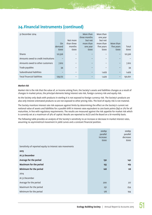| 31 December 2014                    |                   |                 | More than<br>three months | More than<br>one year |                   |         |
|-------------------------------------|-------------------|-----------------|---------------------------|-----------------------|-------------------|---------|
|                                     |                   | Not more        | but not                   | but not               |                   |         |
|                                     | On                | than three      | more than                 | more than             | More than         |         |
|                                     | demand            | months          | one year                  | five years            | five years        | Total   |
|                                     | £000              | £000            | £000                      | £000                  | £000              | £000    |
| <b>Shares</b>                       | 121,526           | $\qquad \qquad$ |                           |                       | $\qquad \qquad -$ | 121,526 |
| Amounts owed to credit institutions | $\qquad \qquad -$ | -               | -                         |                       |                   |         |
| Amounts owed to other customers     | 7,612             |                 | -                         |                       | -                 | 7,612   |
| Trade payables                      | 34                |                 |                           |                       |                   | 34      |
| Subordinated liabilities            | $\qquad \qquad -$ |                 |                           | 1,429                 | -                 | 1,429   |
| <b>Total financial liabilities</b>  | 129,172           |                 |                           | 1,429                 |                   | 130,601 |

#### *Market risk*

Market risk is the risk that the value of, or income arising from, the Society's assets and liabilities changes as a result of changes in market prices, the principal elements being interest rate risk, foreign currency risk and equity risk.

As the Society only deals with products in sterling it is not exposed to foreign currency risk. The Society's products are also only interest orientated products so are not exposed to other pricing risks. The level of equity risk is not material.

The Society monitors interest rate risk exposure against limits by determining the effect on the Society's current net notional value of assets and liabilities for a parallel shift in interest rates equivalent to 200 basis points (bp) or 2% for all maturities, in line with regulatory requirements. The results are measured against the risk appetite for market risk which is currently set at a maximum of 4% of capital. Results are reported to ALCO and the Board on a bi-monthly basis.

The following table provides an analysis of the Society's sensitivity to an increase or decrease in market interest rates, assuming no asymmetrical movement in yield curves and a constant financial position.

|                                                           | 200bp<br>parallel<br>increase<br>£000 | 200bp<br>parallel<br>decrease<br>£000 |
|-----------------------------------------------------------|---------------------------------------|---------------------------------------|
| Sensitivity of reported equity to interest rate movements |                                       |                                       |
| 2015                                                      |                                       |                                       |
| At 31 December                                            |                                       |                                       |
| Average for the period                                    | 130                                   | 142                                   |
| <b>Maximum for the period</b>                             | 155                                   | 169                                   |
| Minimum for the period                                    | 108                                   | 118                                   |
| 2014                                                      |                                       |                                       |
| At 31 December                                            |                                       |                                       |
| Average for the period                                    | 200                                   | 217                                   |
| Maximum for the period                                    | 231                                   | 254                                   |
| Minimum for the period                                    | 178                                   | 194                                   |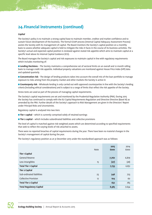#### *Capital*

The Society's policy is to maintain a strong capital base to maintain member, creditor and market confidence and to sustain future development of the business. The formal ICAAP process (Internal Capital Adequacy Assessment Process) assists the Society with its management of capital. The Board monitors the Society's capital position on a monthly basis to assess whether adequate capital is held to mitigate the risks it faces in the course of its business activities. The Society's actual and expected capital position is reviewed against stated risk appetite which aims to maintain capital at a specific level above its Internal Capital Guidance (ICG).

The Board manages the Society's capital and risk exposures to maintain capital in line with regulatory requirements which includes monitoring of:

■ **Lending Decisions** – The Society maintains a comprehensive set of sectoral limits on an overall and 12-month rolling basis to manage credit risk appetite. Individual property valuations are monitored against House Price Index (HPI) data and updated quarterly.

■ **Concentration risk** - The design of lending products takes into account the overall mix of the loan portfolio to manage exposure to risks arising from the property market and other markets the Society is active in

■ **Counterparty risk** - Wholesale lending is only carried out with approved counterparties in line with the Society's lending criteria (including ethical considerations) and is subject to a range of limits that reflect the risk appetite of the Society.

Stress tests are used as part of the process of managing capital requirements.

The Society's capital requirements are set and monitored by the Prudential Regulation Authority (PRA). During 2015 the Society has continued to comply with the EU Capital Requirements Regulation and Directive Directive (Basel III) as amended by the PRA. Further details of the Society's approach to Risk Management are given in the Directors' Report under *Principal Risks and Uncertainties.*

Regulatory capital is analysed into two tiers:

- **Tier 1 capital** which is currently comprised solely of retained earnings
- **Tier 2 capital** which includes subordinated liabilities and collective provisions

The level of capital is matched against risk-weighted assets which are determined according to specified requirements that seek to reflect the varying levels of risk attached to assets.

There were no reported breaches of capital requirements during the year. There have been no material changes in the Society's management of capital during the year.

The Society's regulatory position as at 31 December 2015 under the standardised approach was as follows:

| <b>Note</b>                       | 2015<br><b>£000</b> | 2014<br>£000 |
|-----------------------------------|---------------------|--------------|
| <b>Tier 1 Capital</b>             |                     |              |
| <b>General Reserve</b>            | 7,760               | 6,879        |
| Less intangibles<br>15            | (27)                | (28)         |
| <b>Total Tier 1 Capital</b>       | 7,733               | 6,851        |
| <b>Tier 2 Capital</b>             |                     |              |
| Sub-ordinated liabilities<br>23   | 548                 | 723          |
| <b>Collective Provision</b><br>12 | 104                 | 60           |
| <b>Total Tier 2 Capital</b>       | 652                 | 783          |
| <b>Total Regulatory Capital</b>   | 8,385               | 7,634        |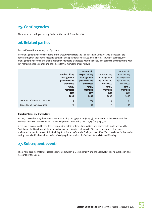# **25. Contingencies**

There were no contingencies required as at the end of December 2015.

# **26. Related parties**

#### *Transactions with key management personnel*

Key management personnel consists of the Executive Directors and Non-Executive Directors who are responsible for ensuring that the Society meets its strategic and operational objectives. In the normal course of business, key management personnel, and their close family members, transacted with the Society. The balances of transactions with key management personnel, and their close family members, are as follows:

|                                                                | Number of key<br>management<br>personnel and<br>their close<br>family<br>members<br>2015<br><b>£000</b> | <b>Amounts in</b><br>respect of key<br>management<br>personnel and<br>their close<br>family<br>members<br>2015<br><b>£000</b> | Number of key<br>management<br>personnel and<br>their close<br>family<br>members<br>2014<br>£000 | Amounts in<br>respect of key<br>management<br>personnel and<br>their close<br>family<br>members<br>2014<br>£000 |
|----------------------------------------------------------------|---------------------------------------------------------------------------------------------------------|-------------------------------------------------------------------------------------------------------------------------------|--------------------------------------------------------------------------------------------------|-----------------------------------------------------------------------------------------------------------------|
| Loans and advances to customers<br>Deposits and share accounts | 3<br>11                                                                                                 | 283<br>50                                                                                                                     | 3<br>11                                                                                          | 311<br>76                                                                                                       |
|                                                                |                                                                                                         |                                                                                                                               |                                                                                                  |                                                                                                                 |

#### **Directors' loans and transactions**

At the 31 December 2015 there were three outstanding mortgage loans (2014: 3), made in the ordinary course of the Society's business to Directors and connected persons, amounting to £282,765 (2014: £311,179).

A register is maintained by the Society containing details of loans, transactions and agreements made between the Society and the Directors and their connected persons. A register of loans to Directors and connected persons is maintained under Section 68 of the Building Societies Act 1986 at the Society's head office. This is available for inspection during normal office hours for a period of 15 days prior to, and at, the Society's Annual General Meeting.

### **27. Subsequent events**

There have been no material subsequent events between 31 December 2015 and the approval of this Annual Report and Accounts by the Board.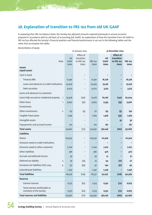# **28. Explanation of transition to FRS 102 from old UK GAAP**

In preparing their FRS 102 balance sheet, the Society has adjusted amounts reported previously in annual accounts prepared in accordance with its old basis of accounting (UK GAAP). An explanation of how the transition from UK GAAP to FRS 102 has affected the Society's financial position and financial performance is set out in the following tables and the notes that accompany the tables.

*Reconciliation of equity*

|                                                               |                                  | 01 January 2014                               |                        |                                  | 31 December 2014                                     |                        |
|---------------------------------------------------------------|----------------------------------|-----------------------------------------------|------------------------|----------------------------------|------------------------------------------------------|------------------------|
| Note                                                          | <b>UK</b><br><b>GAAP</b><br>£000 | Effect of<br>transition<br>to FRS 102<br>£000 | <b>FRS 102</b><br>£000 | <b>UK</b><br><b>GAAP</b><br>£000 | <b>Effect of</b><br>transition<br>to FRS 102<br>£000 | <b>FRS 102</b><br>£000 |
| <b>Assets</b><br><b>Liquid assets</b>                         |                                  |                                               |                        |                                  |                                                      |                        |
| Cash in hand                                                  |                                  |                                               |                        |                                  |                                                      |                        |
| <b>Treasury Bills</b>                                         | 12,491                           |                                               | 12,491                 | 18,228                           |                                                      | 18,228                 |
| Loans and advances to credit institutions                     | 23,429                           |                                               | 23,429                 | 23,156                           | -                                                    | 23,156                 |
| Debt securities                                               | 4,022                            |                                               | 4,022                  | 3,515                            |                                                      | 3,515                  |
| Loans and advances to customers                               |                                  |                                               |                        |                                  |                                                      |                        |
| Loans fully secured on residential property<br>$\overline{1}$ | 73,308                           | (130)                                         | 73,178                 | 82,166                           | (142)                                                | 82,024                 |
| Other loans<br>$\mathbf{1}$                                   | 9,942                            | (37)                                          | 9,905                  | 9,333                            | (33)                                                 | 9,300                  |
| Investments                                                   |                                  |                                               |                        |                                  |                                                      |                        |
| Other Investments<br>$\overline{2}$                           | 155                              | (4)                                           | 151                    | 155                              | (5)                                                  | 150                    |
| Tangible fixed assets                                         | 1,284                            |                                               | 1,284                  | 1,308                            | (39)                                                 | 1,269                  |
| Intangible assets                                             |                                  |                                               |                        |                                  | 39                                                   | 39                     |
| Prepayments and accrued income                                | 170                              |                                               | 170                    | 187                              |                                                      | 187                    |
| <b>Total assets</b>                                           | 124,801                          | (171)                                         | 124,630                | 138,048                          | (180)                                                | 137,868                |
| <b>Liabilities</b>                                            |                                  |                                               |                        |                                  |                                                      |                        |
| <b>Shares</b>                                                 | 109,532                          |                                               | 109,532                | 121,526                          |                                                      | 121,526                |
| Amounts owed to credit institutions                           |                                  |                                               |                        |                                  |                                                      |                        |
| Amounts owed to other customers                               | 7,026                            |                                               | 7,026                  | 7,612                            |                                                      | 7,612                  |
| Other liabilities                                             | 386                              |                                               | 386                    | 476                              |                                                      | 476                    |
| Accruals and deferred income                                  | 59                               |                                               | 59                     | 51                               |                                                      | 51                     |
| Deferred tax liability<br>3                                   | 39                               | (14)                                          | 25                     | 44                               | (17)                                                 | 27                     |
| Provisions for liabilities FSCS Levy<br>$\overline{4}$        | 137                              | (95)                                          | 42                     | 140                              | (91)                                                 | 49                     |
| Subordinated liabilities                                      | 1,247                            |                                               | 1,247                  | 1,248                            |                                                      | 1,248                  |
| <b>Total liabilities</b>                                      | 118,426                          | (109)                                         | 118,317                | 131,097                          | (108)                                                | 130,989                |
| <b>Reserves</b>                                               |                                  |                                               |                        |                                  |                                                      |                        |
| General reserves                                              | 6,375                            | (62)                                          | 6,313                  | 6,951                            | (72)                                                 | 6,879                  |
| Total reserves attributable to<br>members of the Society      | 6,375                            | (62)                                          | 6,313                  | 6,951                            | (72)                                                 | 6,879                  |
| <b>Total reserves and liabilities</b>                         | 124,801                          | (171)                                         | 124,630                | 138,048                          | (180)                                                | 137,868                |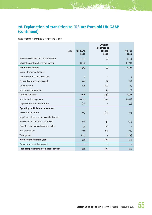# **28. Explanation of transition to FRS 102 from old UK GAAP (continued)**

不安的

*Reconciliation of profi t for the 31 December 2014*

| <b>Note</b>                               | <b>UK GAAP</b><br>£000 | <b>Effect of</b><br>transition to<br><b>FRS 102</b><br><b>£000</b> | <b>FRS 102</b><br>£000 |
|-------------------------------------------|------------------------|--------------------------------------------------------------------|------------------------|
| Interest receivable and similar income    | 4,421                  | 33                                                                 | 4,454                  |
| Interest payable and similar charges      | (1, 858)               |                                                                    | (1, 858)               |
| Net interest income                       | 2,563                  | 33                                                                 | 2,596                  |
| Income from investments                   |                        |                                                                    |                        |
| Fee and commissions receivable            | 9                      |                                                                    | 9                      |
| Fees and commissions payable              | (64)                   | 32                                                                 | (32)                   |
| Other Income                              | 108                    | (93)                                                               | 15                     |
| Investment Impairment                     |                        | (1)                                                                | (1)                    |
| <b>Total net income</b>                   | 2,616                  | (29)                                                               | 2,587                  |
| Administrative expenses                   | (1,692)                | (44)                                                               | (1,736)                |
| Depreciation and amortisation             | (77)                   |                                                                    | (77)                   |
| <b>Operating profit before impairment</b> |                        |                                                                    |                        |
| losses and provisions                     | 847                    | (73)                                                               | 774                    |
| Impairment losses on loans and advances   |                        |                                                                    |                        |
| Provisions for liabilities - FSCS levy    | (90)                   | 40                                                                 | (50)                   |
| Provisions for bad and doubtful debts     | (9)                    | 20                                                                 | 11                     |
| Profit before tax                         | 748                    | (13)                                                               | 735                    |
| Tax expense                               | (172)                  | 3                                                                  | (169)                  |
| Profit for the financial year             | 576                    | (10)                                                               | 566                    |
| Other comprehensive income                | $\circ$                | $\mathbf 0$                                                        | $\circ$                |
| Total comprehensive income for the year   | 576                    | (10)                                                               | 566                    |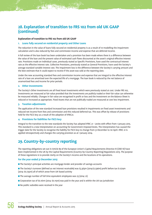# **28. Explanation of transition to FRS 102 from old UK GAAP (continued)**

#### **Explanation of transition to FRS 102 from old UK GAAP**

#### **1. Loans fully secured on residential property and Other Loans**

The reduction in the value of loans fully secured on residential property is as a result of re-modelling the impairment calculation and is also reduced by fees and commission income and expense that are deferred income.

A full review of the loan book has been undertaken and a provision has been made where there is a difference between the value of the loan and the present value of estimated cash flows discounted at the asset's original effective interest rate. Provisions made on individual cases, previously stated as Specific Provisions, have used the contractual interest rate as the effective interest rate. Collective Provisions, previously stated as General Provisions, have used the Society's average standard variable interest rate. The impairment loss is the difference between the Society's carrying amount and the best estimate that it could expect to receive if the asset was sold at the reporting date.

Under the new accounting standard fees and commission income and expense that are integral to the effective interest rate of a loan are amortised over the expected life of a mortgage. The loan book is reduced by the net balance of unamortised fees and income for prior periods.

#### **2. Other Investments**

The Society's Other Investments are all Fixed Asset Investments which were previously stated at cost. Under FRS 102, investments are measured at fair value provided that the investments are publicly traded or their fair value can otherwise be measured reliably. Changes in fair value are recognised in profit or loss and the investment on the Balance Sheet is reduced or increased as appropriate. Fixed Assets that are not publically traded are measured at cost less impairment.

#### **3. Taxation adjustments**

The application of the new standard increased loan provisions resulted in impairments on fixed asset investments and reduced net income from fees and commission and this reduced deferred tax. This was offset by release of provisions held for the FSCS levy as a result of the adoption of IFRIC21.

#### **4. Provisions for liabilities for FSCS levy**

Integral to the transition to the new standards the Society has adopted IFRIC 21 - Levies with effect from 1 January 2015. This standard is a new interpretation on accounting for Government imposed levies. The interpretation has caused the trigger date for the Society to recognise the liability for FSCS levy to change from 31 December to 1st April. IFRIC 21 is applied retrospectively and changes the carrying provision as at 1 January 2014.

### **29. Country-by-country reporting**

The reporting obligations set out in Article 89 of the European Union's Capital Requirements Directive IV (CRD IV) have been implemented in the UK by the Capital Requirements (Country-by-Country Reporting) Regulations 2013. The purpose of these regulations is to provide clarity on the Society's income and the locations of its operations.

#### **For the year ended 31 December 2015:**

- The Society's principal activities are mortgage lender and provider of savings accounts
- The Society's turnover (defined as net interest receivable) was £3.363m (2014:£2.596m) profit before tax £1.074m (2014: £0.735m) all of which arose from UK-based activity
- The average number of full time equivalent employees was 23 (2014: 21)
- Corporation tax of £0.161m (2014: £0.115m) was paid in the year and is within the UK tax jurisdiction
- No public subsidies were received in the year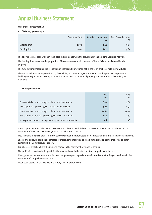# Annual Business Statement

Year ended 31 December 2015

#### **1 Statutory percentages**

|               | Statutory limit | At 31 December 2015<br>$\%$ | At 31 December 2014<br>$\%$ |
|---------------|-----------------|-----------------------------|-----------------------------|
| Lending limit | 25.00           | 9.22                        | 10.73                       |
| Funding limit | 50.00           | 6.47                        | 5.89                        |

The above percentages have been calculated in accordance with the provisions of the Building Societies Act 1986.

The lending limit measures the proportion of business assets not in the form of loans fully secured on residential property.

The funding limit measures the proportion of shares and borrowings not in the form of shares held by individuals.

The statutory limits are as prescribed by the Building Societies Act 1986 and ensure that the principal purpose of a building society is that of making loans which are secured on residential property and are funded substantially by members.

#### **2 Other percentages**

|                                                            | 2015<br>℅ | 2014<br>$\%$ |
|------------------------------------------------------------|-----------|--------------|
| Gross capital as a percentage of shares and borrowings     | 6.10      | 5.89         |
| Free capital as a percentage of shares and borrowings      | 5.21      | 4.92         |
| Liquid assets as a percentage of shares and borrowings     | 21.83     | 34.77        |
| Profit after taxation as a percentage of mean total assets | 0.62      | 0.43         |
| Management expenses as a percentage of mean total assets   | 1.46      | 1.38         |

Gross capital represents the general reserves and subordinated liabilities. Of the subordinated liability shown on the statement of financial position £0.548m is classed as Tier 2 capital.

Free capital is the gross capital plus the collective impairment for losses on loans less tangible and intangible fixed assets.

Shares and borrowings are the aggregate of shares, amounts owed to credit institutions and amounts owed to other customers including accrued interest.

Liquid assets are taken from the items so named in the statement of financial position.

The profit after taxation is the profit for the year as shown in the statement of comprehensive income

Management expenses are the administrative expenses plus depreciation and amortisation for the year as shown in the statement of comprehensive income.

Mean total assets are the average of the 2015 and 2014 total assets.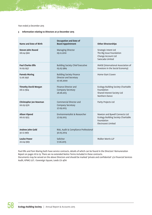#### *Year ended 31 December 2015*

#### **3 Information relating to Directors at 31 December 2015**

| Name and Date of Birth                      | <b>Occupation and Date of</b><br><b>Board Appointment</b>               | <b>Other Directorships</b>                                                                                 |
|---------------------------------------------|-------------------------------------------------------------------------|------------------------------------------------------------------------------------------------------------|
| <b>Steven John Round</b><br>08.04.1960      | <b>Managing Director</b><br>09.12.2010                                  | Strategic Intent Ltd<br>The Big Issue Foundation<br>Change Account Ltd<br>Saescada Limited                 |
| <b>Paul Charles Ellis</b><br>10.09.1957     | <b>Building Society Chief Executive</b><br>05.05.1984                   | INAISE (International Association of<br>Investors in the Social Economy)                                   |
| <b>Pamela Waring</b><br>12.06.1956          | <b>Building Society Finance</b><br>Director and Secretary<br>07.06.2000 | Home-Start Craven                                                                                          |
| <b>Timothy David Morgan</b><br>08.12.1964   | Finance Director and<br><b>Company Secretary</b><br>28.08.2013          | Ecology Building Society Charitable<br>Foundation<br>Shared Interest Society Ltd<br>Northern Dance         |
| <b>Christopher Jon Newman</b><br>06.09.1976 | Commercial Director and<br><b>Company Secretary</b><br>27.09.2013       | Parity Projects Ltd                                                                                        |
| <b>Alison Vipond</b><br>06.02.1973          | Environmentalist & Researcher<br>27.09.2013                             | Newton and Bywell Connects Ltd<br>Ecology Building Society Charitable<br>Foundation<br>Electrozest Limited |
| Andrew John Gold<br>30.12.1969              | Risk, Audit & Compliance Professional<br>30.05.2014                     |                                                                                                            |
| <b>Louise Power</b><br>20.04.1969           | Solicitor<br>17.06.2015                                                 | <b>Walker Morris LLP</b>                                                                                   |

Paul Ellis and Pam Waring both have service contracts, details of which can be found in the Directors' Remuneration Report on pages 18 to 19. There are no extended Notice Terms included in these contracts. Documents may be served on the above Directors and should be marked 'private and confidential' c/o Financial Services Audit, KPMG LLP, 1 Sovereign Square, Leeds LS1 4DA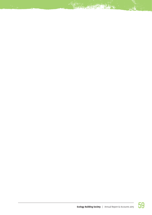kaan.<br>≏aak

医单纯

**Ecology Building Society** | Annual Report & Accounts 2015